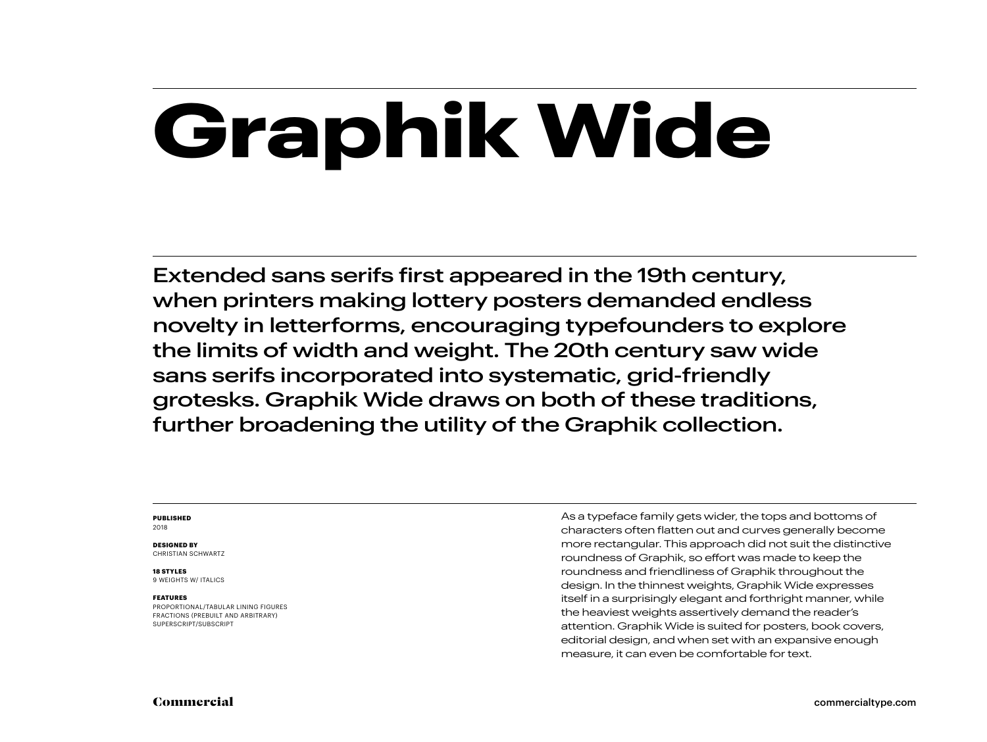# **Graphik Wide**

Extended sans serifs first appeared in the 19th century, when printers making lottery posters demanded endless novelty in letterforms, encouraging typefounders to explore the limits of width and weight. The 20th century saw wide sans serifs incorporated into systematic, grid-friendly grotesks. Graphik Wide draws on both of these traditions, further broadening the utility of the Graphik collection.

#### **PUBLISHED** 2018

#### **DESIGNED BY**

CHRISTIAN SCHWARTZ

#### **18 STYLES**

9 WEIGHTS W/ ITALICS

#### **FEATURES**

PROPORTIONAL/TABULAR LINING FIGURES FRACTIONS (PREBUILT AND ARBITRARY) SUPERSCRIPT/SUBSCRIPT

As a typeface family gets wider, the tops and bottoms of characters often flatten out and curves generally become more rectangular. This approach did not suit the distinctive roundness of Graphik, so effort was made to keep the roundness and friendliness of Graphik throughout the design. In the thinnest weights, Graphik Wide expresses itself in a surprisingly elegant and forthright manner, while the heaviest weights assertively demand the reader's attention. Graphik Wide is suited for posters, book covers, editorial design, and when set with an expansive enough measure, it can even be comfortable for text.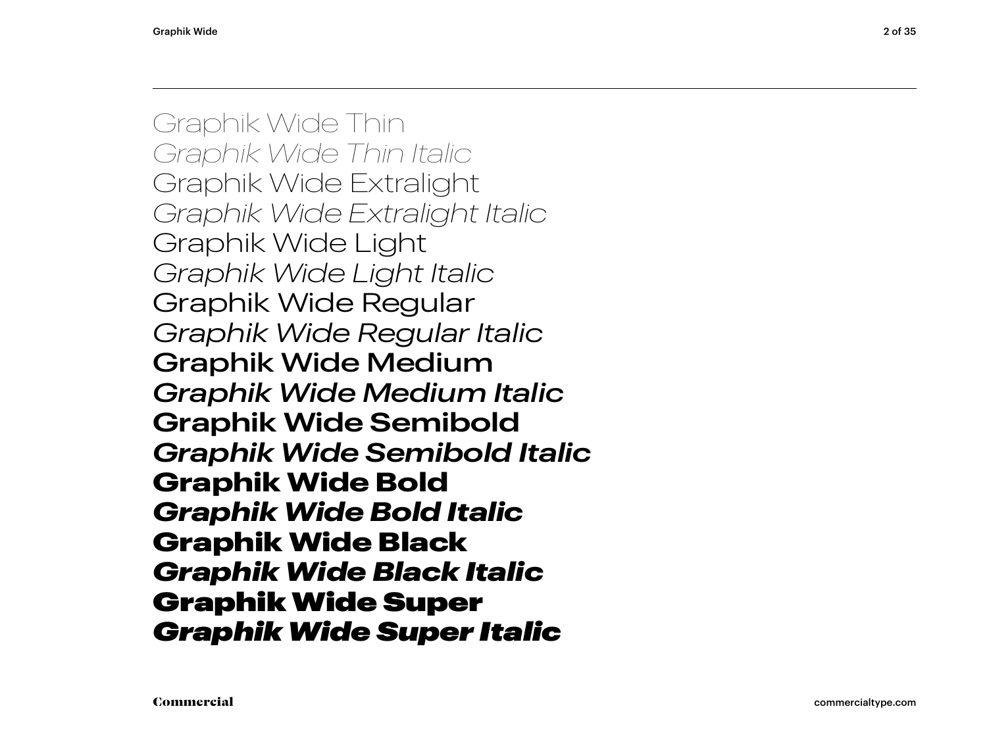Graphik Wide Thin *Graphik Wide Thin Italic* Graphik Wide Extralight *Graphik Wide Extralight Italic* Graphik Wide Light *Graphik Wide Light Italic* Graphik Wide Regular *Graphik Wide Regular Italic* Graphik Wide Medium *Graphik Wide Medium Italic* **Graphik Wide Semibold** *Graphik Wide Semibold Italic* **Graphik Wide Bold** *Graphik Wide Bold Italic* Graphik Wide Black *Graphik Wide Black Italic* Graphik Wide Super *Graphik Wide Super Italic*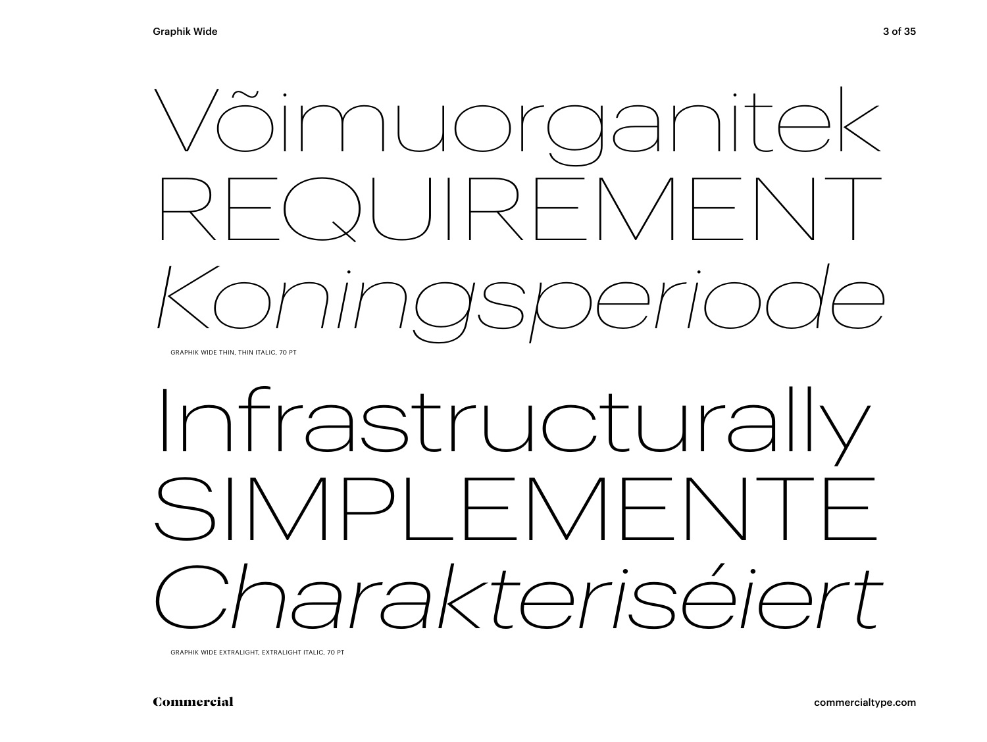

# Infrastructurally SIMPLEMENTE *Charakteriséiert*

GRAPHIK WIDE EXTRALIGHT, EXTRALIGHT ITALIC, 70 PT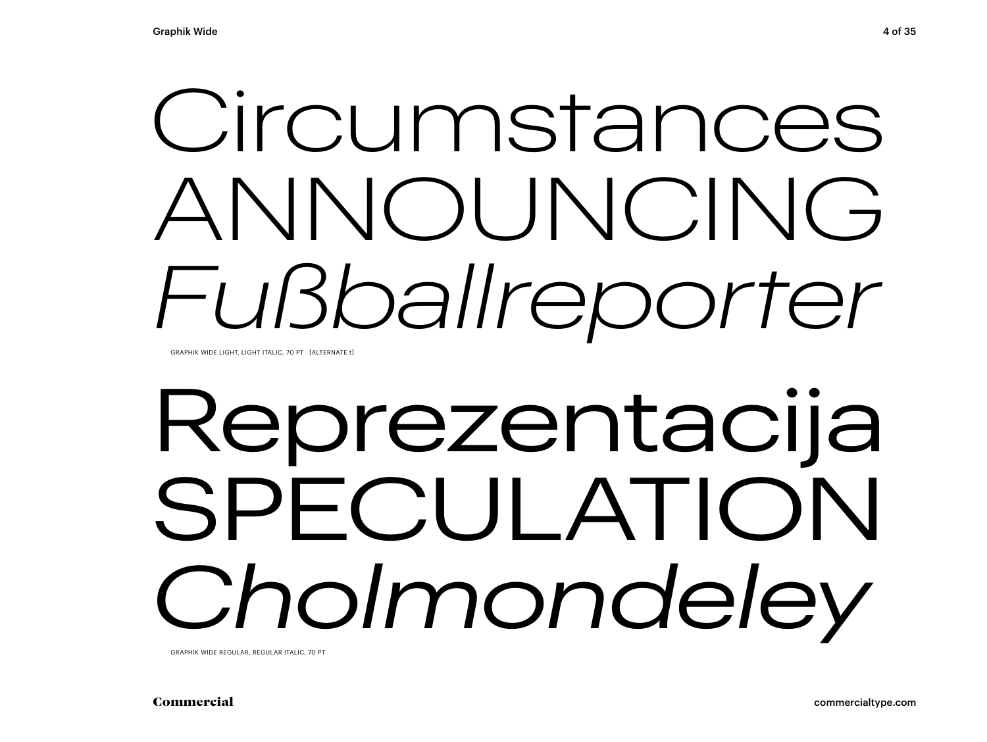# Circumstances ANNOUNCING *Fußballreporter*

GRAPHIK WIDE LIGHT, LIGHT ITALIC, 70 PT [ALTERNATE t]

# Reprezentacija SPECULATION *Cholmondeley*

GRAPHIK WIDE REGULAR, REGULAR ITALIC, 70 PT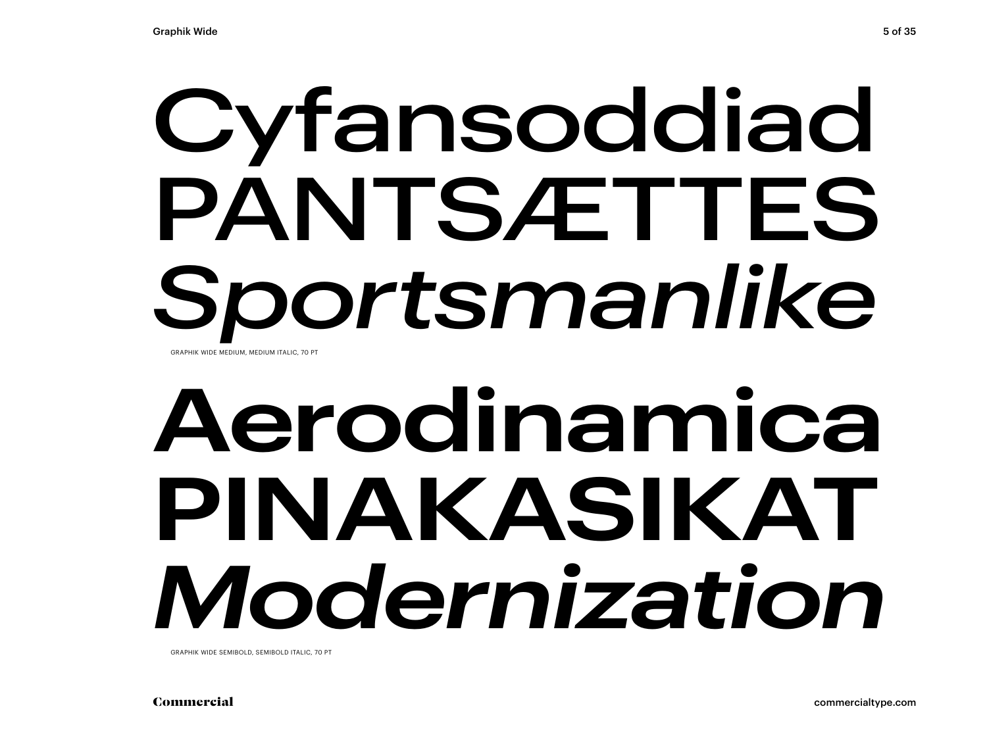## Cyfansoddiad PANTSÆTTES *Sportsmanlike* GRAPHIK WIDE MEDIUM, MEDIUM ITALIC, 70 PT

# **Aerodinamica PINAKASIKAT** *Modernization*

GRAPHIK WIDE SEMIBOLD, SEMIBOLD ITALIC, 70 PT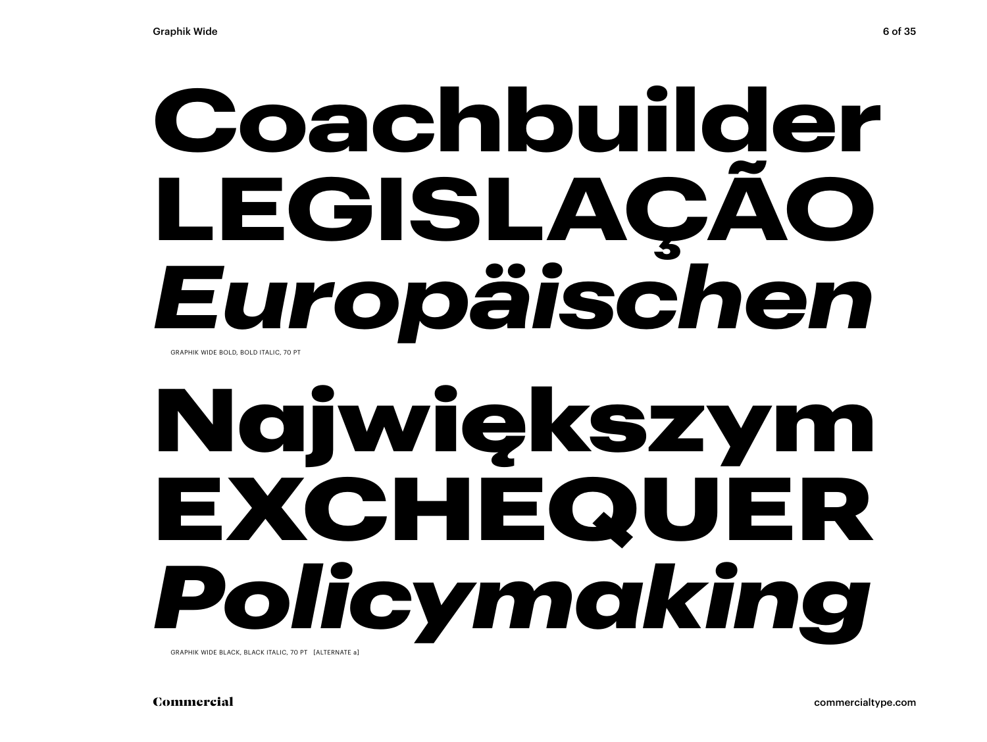## **Coachbuilder LEGISLAÇÃO** *Europäischen*  GRAPHIK WIDE BOLD, BOLD ITALIC, 70 PT

# Największym EXCHEQUER *Policymaking*

GRAPHIK WIDE BLACK, BLACK ITALIC, 70 PT [ALTERNATE a]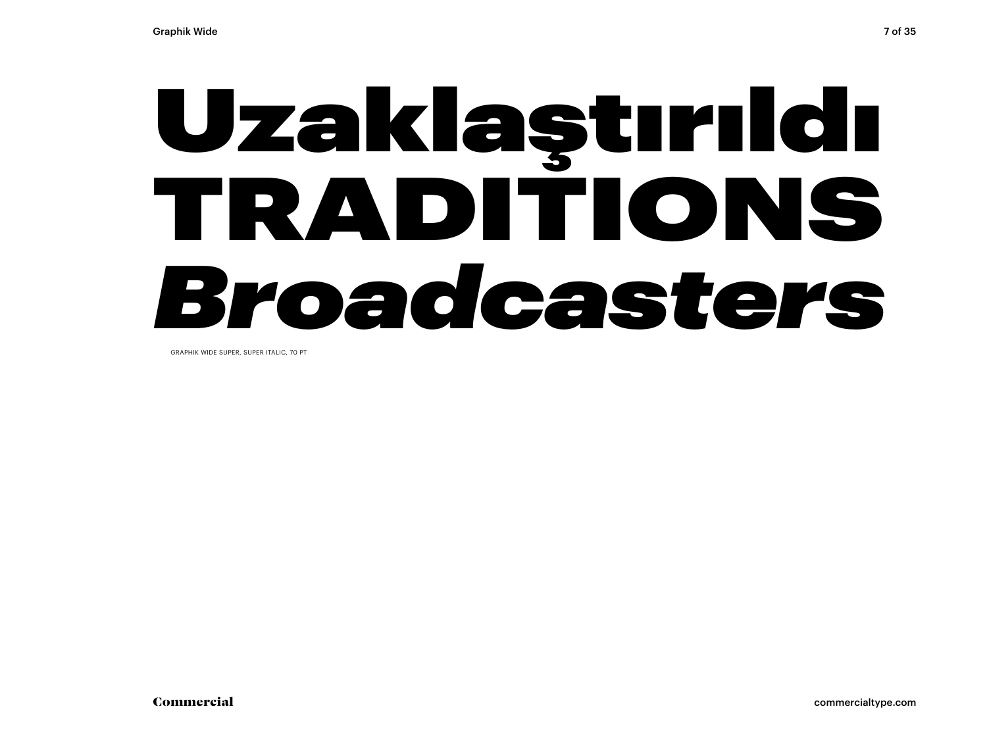# Uzaklaştırıldı TRADITIONS *Broadcasters*

GRAPHIK WIDE SUPER, SUPER ITALIC, 70 PT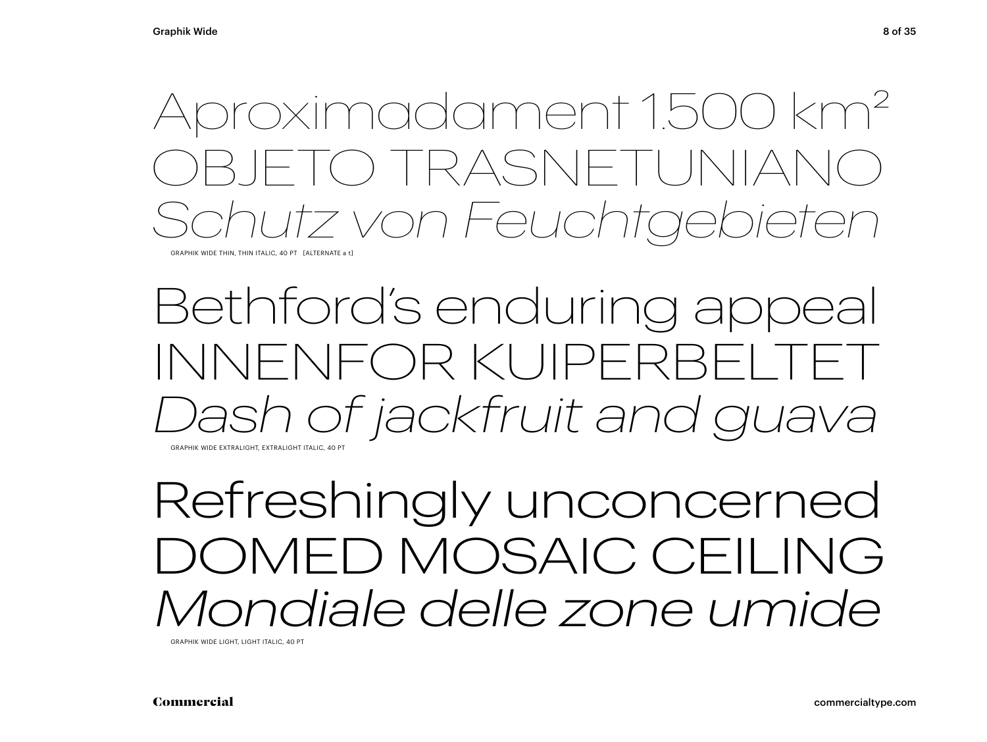## Aproximadament 1.500 km2 ) TRASNET *Schutz von Feuchtgebieten*

GRAPHIK WIDE THIN, THIN ITALIC, 40 PT [ALTERNATE a t]

## Bethford's enduring appeal INNENFOR KUIPERBEI *Dash of jackfruit and guava* GRAPHIK WIDE EXTRALIGHT, EXTRALIGHT ITALIC, 40 PT

Refreshingly unconcerned DOMED MOSAIC CEILING *Mondiale delle zone umide* 

GRAPHIK WIDE LIGHT, LIGHT ITALIC, 40 PT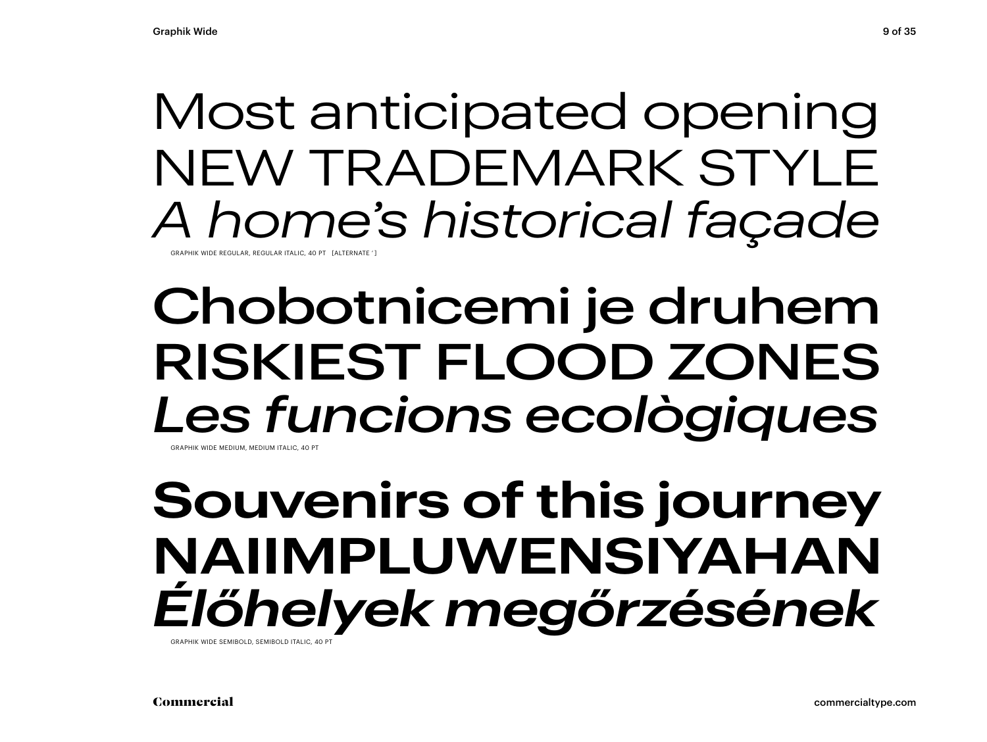## Most anticipated opening NEW TRADEMARK STYLE *A home's historical façade*

GRAPHIK WIDE REGULAR, REGULAR ITALIC, 40 PT [ALTERNATE ' ]

## Chobotnicemi je druhem RISKIEST FLOOD ZONES *Les funcions ecològiques* GRAPHIK WIDE MEDILIM, MEDILIM ITALIC, 40 PT

## **Souvenirs of this journey NAIIMPLUWENSIYAHAN** *Élőhelyek megőrzésének*

GRAPHIK WIDE SEMIBOLD, SEMIBOLD ITALIC, 40 PT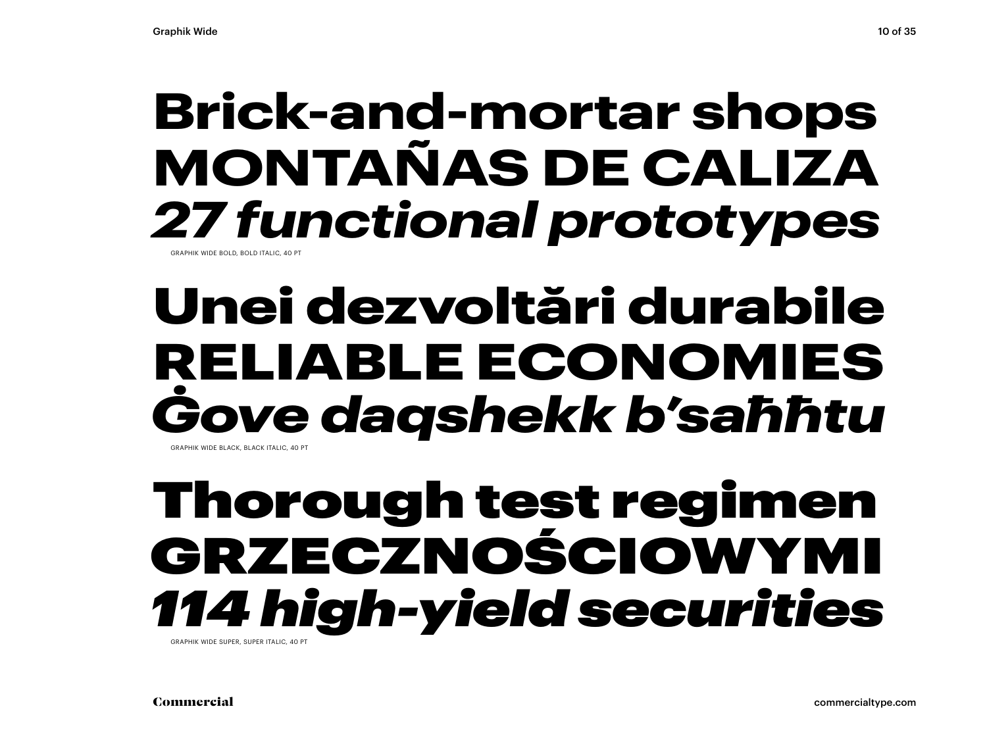## **Brick-and-mortar shops MONTAÑAS DE CALIZA** *27 functional prototypes*

GRAPHIK WIDE BOLD, BOLD ITALIC, 40

## Unei dezvoltări durabile RELIABLE ECONOMIES *Ġove daqshekk b'saħħtu* GRAPHIK WIDE BLACK, BLACK ITALIC, 40 PT

## Thorough test regimen GRZECZNOŚCIOWYMI *114 high-yield securities*

GRAPHIK WIDE SUPER, SUPER ITALIC, 40 PT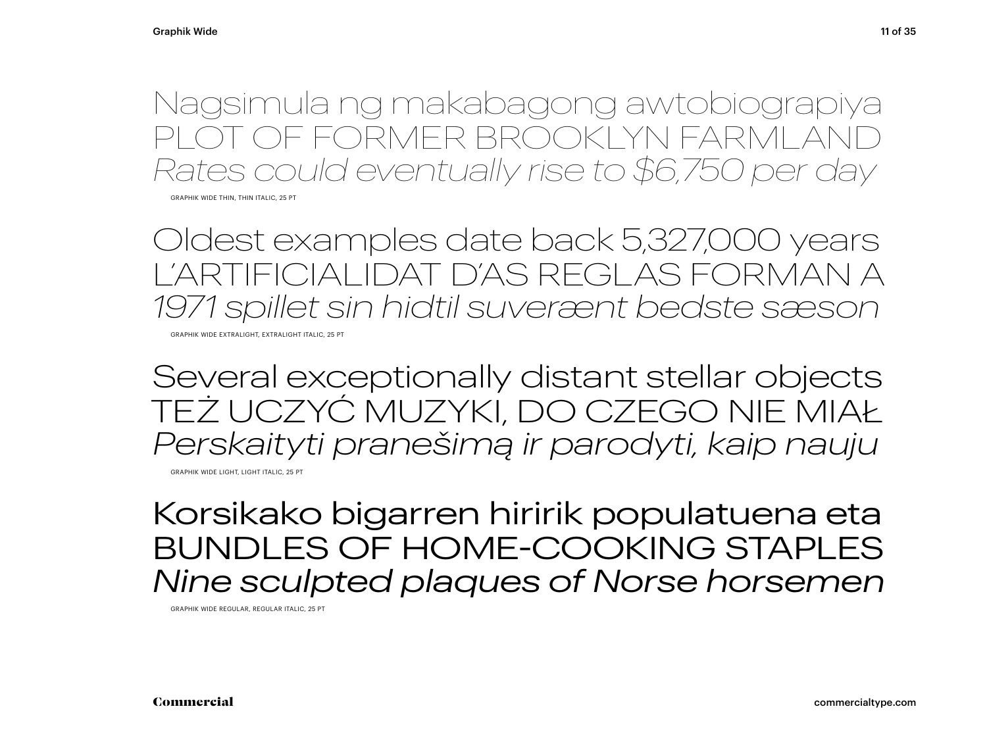Nagsimula ng makabagong awtobiograpiya OT OF FORMER BROOKLYN FARMLAI *Rates could eventually rise to \$6,750 per day*

GRAPHIK WIDE THIN, THIN ITALIC, 25 PT

Oldest examples date back 5,327,000 years L'ARTIFICIALIDAT D'AS REGLAS FORMAN A *1971 spillet sin hidtil suverænt bedste sæson*

GRAPHIK WIDE EXTRALIGHT, EXTRALIGHT ITALIC, 25 PT

Several exceptionally distant stellar objects TEŻ UCZYĆ MUZYKI, DO CZEGO NIE MIAŁ *Perskaityti pranešimą ir parodyti, kaip nauju*

GRAPHIK WIDE LIGHT, LIGHT ITALIC, 25 PT

Korsikako bigarren hiririk populatuena eta BUNDLES OF HOME-COOKING STAPLES *Nine sculpted plaques of Norse horsemen*

GRAPHIK WIDE REGULAR, REGULAR ITALIC, 25 PT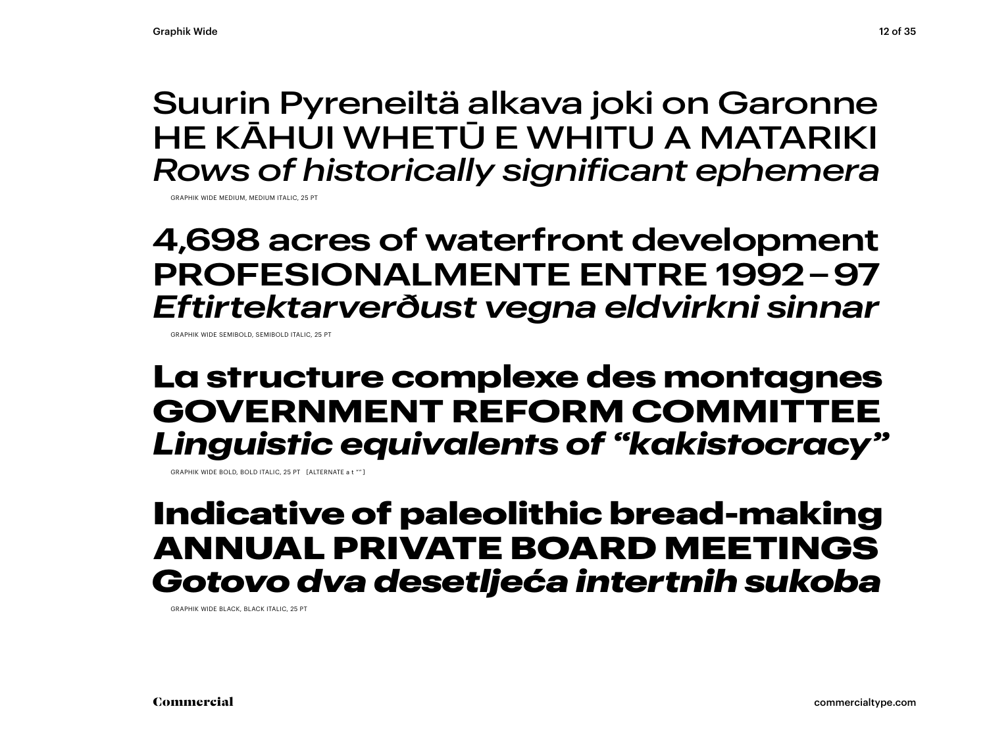### Suurin Pyreneiltä alkava joki on Garonne HE KĀHUI WHETŪ E WHITU A MATARIKI *Rows of historically significant ephemera*

GRAPHIK WIDE MEDIUM, MEDIUM ITALIC, 25 PT

### **4,698 acres of waterfront development PROFESIONALMENTE ENTRE 1992 – 97** *Eftirtektarverðust vegna eldvirkni sinnar*

GRAPHIK WIDE SEMIBOLD, SEMIBOLD ITALIC, 25 PT

### **La structure complexe des montagnes GOVERNMENT REFORM COMMITTEE** *Linguistic equivalents of "kakistocracy"*

GRAPHIK WIDE BOLD, BOLD ITALIC, 25 PT [ALTERNATE a t "" ]

### Indicative of paleolithic bread-making ANNUAL PRIVATE BOARD MEETINGS *Gotovo dva desetljeća intertnih sukoba*

GRAPHIK WIDE BLACK, BLACK ITALIC, 25 PT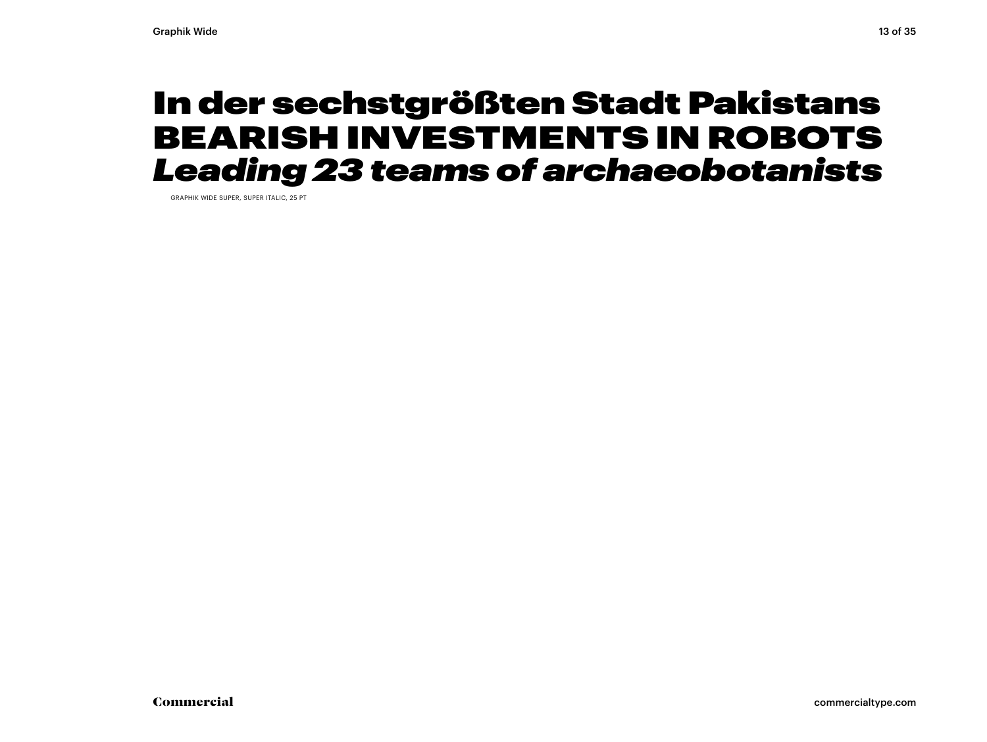### In der sechstgrößten Stadt Pakistans BEARISH INVESTMENTS IN ROBOTS *Leading 23 teams of archaeobotanists*

GRAPHIK WIDE SUPER, SUPER ITALIC, 25 PT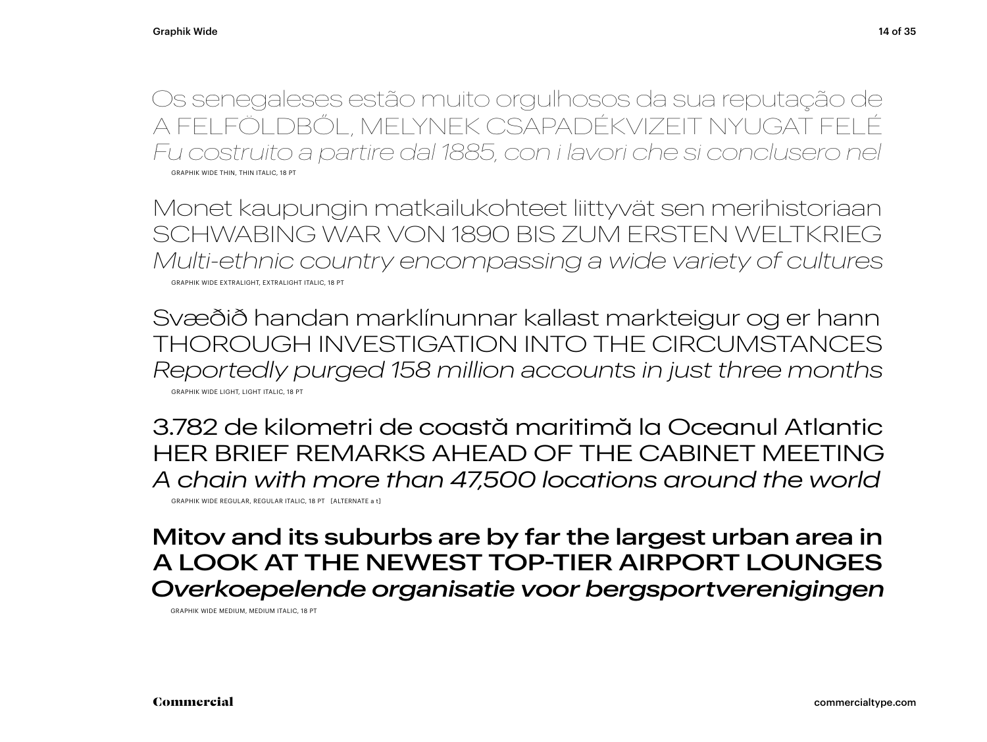Os senegaleses estão muito orgulhosos da sua reputação de A FELFÖLDBŐL, MELYNEK CSAPADÉKVIZEIT NYUGAT FELÉ *Fu costruito a partire dal 1885, con i lavori che si conclusero nel* GRAPHIK WIDE THIN, THIN ITALIC, 18 PT

Monet kaupungin matkailukohteet liittyvät sen merihistoriaan SCHWABING WAR VON 1890 BIS ZUM ERSTEN WELTKRIEG *Multi-ethnic country encompassing a wide variety of cultures* GRAPHIK WIDE EXTRALIGHT, EXTRALIGHT ITALIC, 18 PT

Svæðið handan marklínunnar kallast markteigur og er hann THOROUGH INVESTIGATION INTO THE CIRCUMSTANCES *Reportedly purged 158 million accounts in just three months* GRAPHIK WIDE LIGHT, LIGHT ITALIC, 18 PT

3.782 de kilometri de coastă maritimă la Oceanul Atlantic HER BRIEF REMARKS AHEAD OF THE CABINET MEETING *A chain with more than 47,500 locations around the world*

GRAPHIK WIDE REGULAR, REGULAR ITALIC, 18 PT [ALTERNATE a t]

Mitov and its suburbs are by far the largest urban area in A LOOK AT THE NEWEST TOP-TIER AIRPORT LOUNGES *Overkoepelende organisatie voor bergsportverenigingen*

GRAPHIK WIDE MEDIUM, MEDIUM ITALIC, 18 PT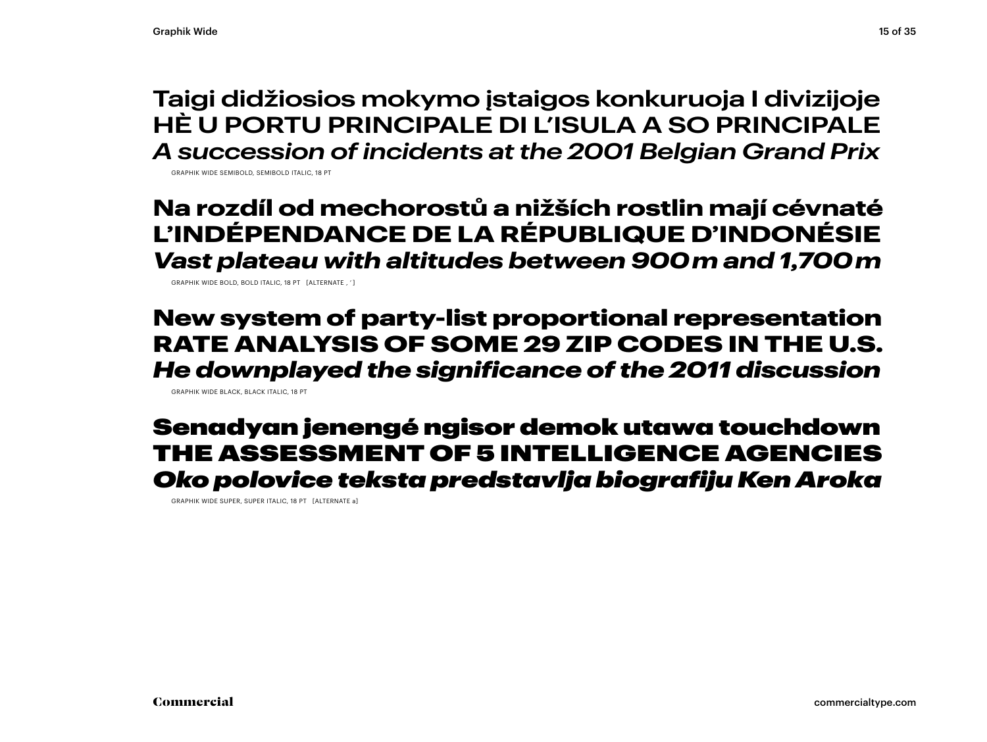**Taigi didžiosios mokymo įstaigos konkuruoja I divizijoje HÈ U PORTU PRINCIPALE DI L'ISULA A SO PRINCIPALE** *A succession of incidents at the 2001 Belgian Grand Prix*

GRAPHIK WIDE SEMIBOLD, SEMIBOLD ITALIC, 18 PT

### **Na rozdíl od mechorostů a nižších rostlin mají cévnaté L'INDÉPENDANCE DE LA RÉPUBLIQUE D'INDONÉSIE**  *Vast plateau with altitudes between 900 m and 1,700 m*

GRAPHIK WIDE BOLD, BOLD ITALIC, 18 PT [ALTERNATE , ' ]

New system of party-list proportional representation RATE ANALYSIS OF SOME 29 ZIP CODES IN THE U.S. *He downplayed the significance of the 2011 discussion*

GRAPHIK WIDE BLACK, BLACK ITALIC, 18 PT

### Senadyan jenengé ngisor demok utawa touchdown THE ASSESSMENT OF 5 INTELLIGENCE AGENCIES *Oko polovice teksta predstavlja biografiju Ken Aroka*

GRAPHIK WIDE SUPER, SUPER ITALIC, 18 PT [ALTERNATE a]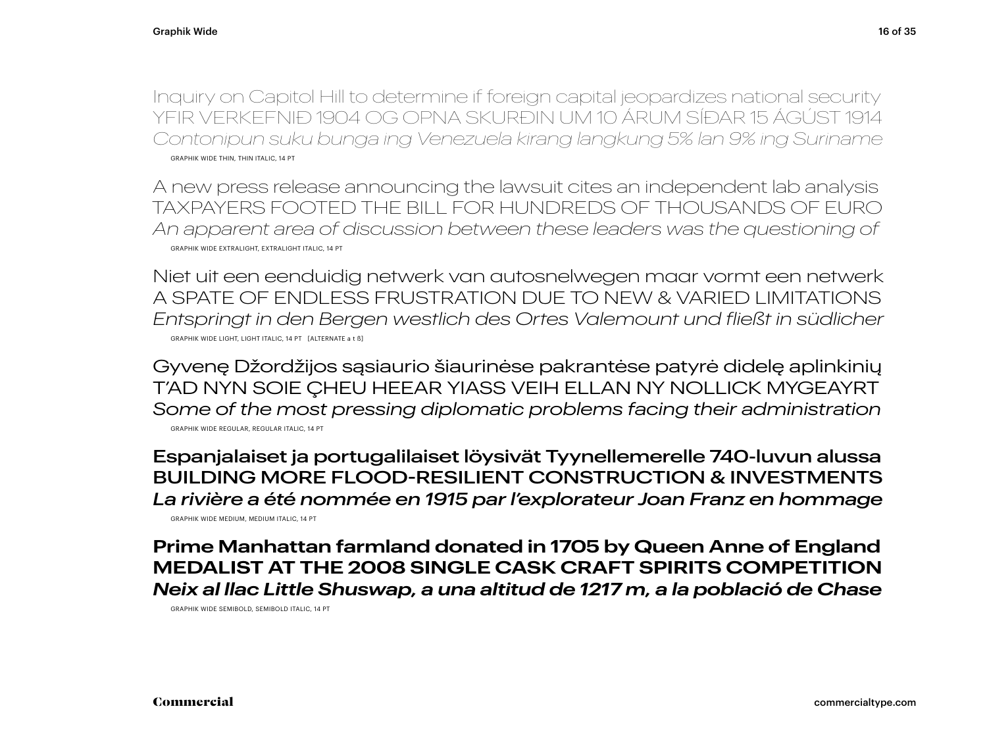Inquiry on Capitol Hill to determine if foreign capital jeopardizes national security YFIR VERKEFNIÐ 1904 OG OPNA SKURÐIN UM 10 ÁRUM SÍÐAR 15 ÁGÚST 1914 *Contonipun suku bunga ing Venezuela kirang langkung 5% lan 9% ing Suriname* GRAPHIK WIDE THIN, THIN ITALIC, 14 PT

A new press release announcing the lawsuit cites an independent lab analysis TAXPAYERS FOOTED THE BILL FOR HUNDREDS OF THOUSANDS OF EURO *An apparent area of discussion between these leaders was the questioning of* GRAPHIK WIDE EXTRALIGHT, EXTRALIGHT ITALIC, 14 PT

Niet uit een eenduidig netwerk van autosnelwegen maar vormt een netwerk A SPATE OF ENDLESS FRUSTRATION DUE TO NEW & VARIED LIMITATIONS *Entspringt in den Bergen westlich des Ortes Valemount und fließt in südlicher* GRAPHIK WIDE LIGHT, LIGHT ITALIC, 14 PT [ALTERNATE a t ß]

Gyvenę Džordžijos sąsiaurio šiaurinėse pakrantėse patyrė didelę aplinkinių T'AD NYN SOIE ÇHEU HEEAR YIASS VEIH ELLAN NY NOLLICK MYGEAYRT *Some of the most pressing diplomatic problems facing their administration* GRAPHIK WIDE REGULAR, REGULAR ITALIC, 14 PT

Espanjalaiset ja portugalilaiset löysivät Tyynellemerelle 740-luvun alussa BUILDING MORE FLOOD-RESILIENT CONSTRUCTION & INVESTMENTS *La rivière a été nommée en 1915 par l'explorateur Joan Franz en hommage*

GRAPHIK WIDE MEDIUM, MEDIUM ITALIC, 14 PT

**Prime Manhattan farmland donated in 1705 by Queen Anne of England MEDALIST AT THE 2008 SINGLE CASK CRAFT SPIRITS COMPETITION** *Neix al llac Little Shuswap, a una altitud de 1217 m, a la població de Chase*

GRAPHIK WIDE SEMIBOLD, SEMIBOLD ITALIC, 14 PT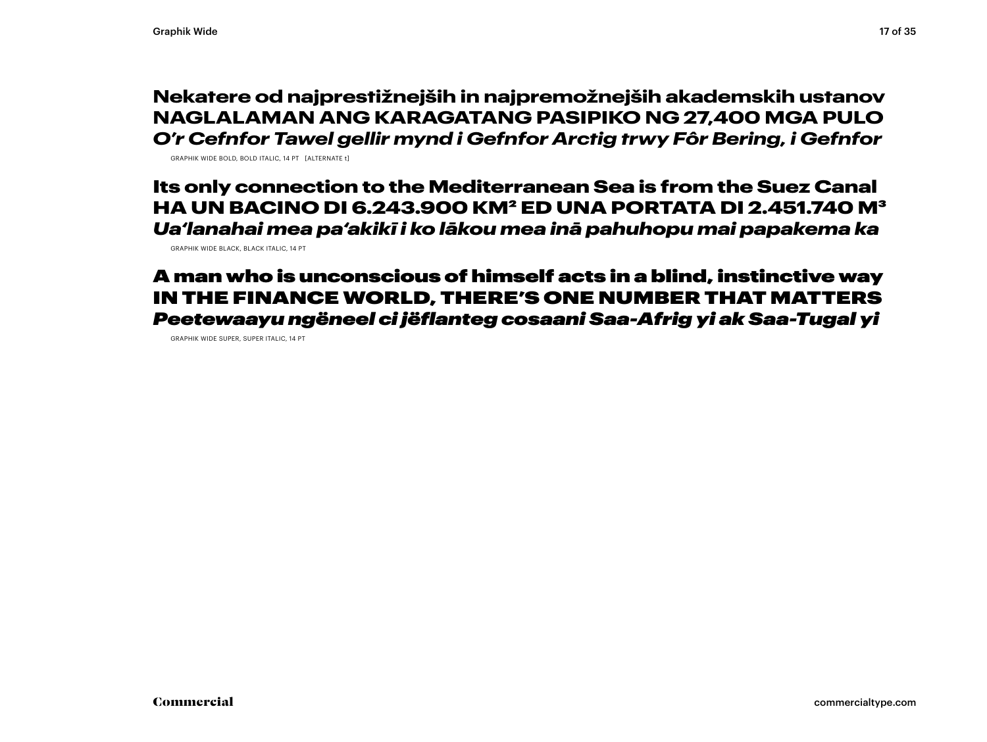#### **Nekatere od najprestižnejših in najpremožnejših akademskih ustanov NAGLALAMAN ANG KARAGATANG PASIPIKO NG 27,400 MGA PULO** *O'r Cefnfor Tawel gellir mynd i Gefnfor Arctig trwy Fôr Bering, i Gefnfor*

GRAPHIK WIDE BOLD, BOLD ITALIC, 14 PT [ALTERNATE t]

Its only connection to the Mediterranean Sea is from the Suez Canal HA UN BACINO DI 6.243.900 KM2 ED UNA PORTATA DI 2.451.740 M3 *Ua'lanahai mea pa'akikī i ko lākou mea inā pahuhopu mai papakema ka*

GRAPHIK WIDE BLACK, BLACK ITALIC, 14 PT

#### A man who is unconscious of himself acts in a blind, instinctive way IN THE FINANCE WORLD, THERE'S ONE NUMBER THAT MATTERS *Peetewaayu ngëneel ci jëflanteg cosaani Saa-Afrig yi ak Saa-Tugal yi*

GRAPHIK WIDE SUPER, SUPER ITALIC, 14 PT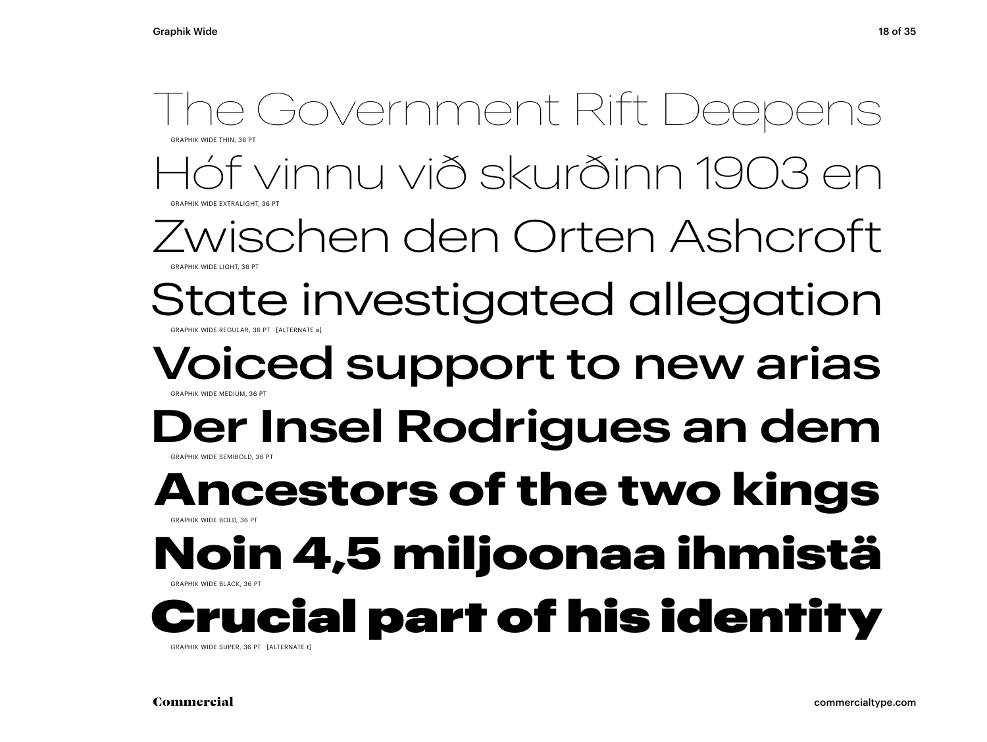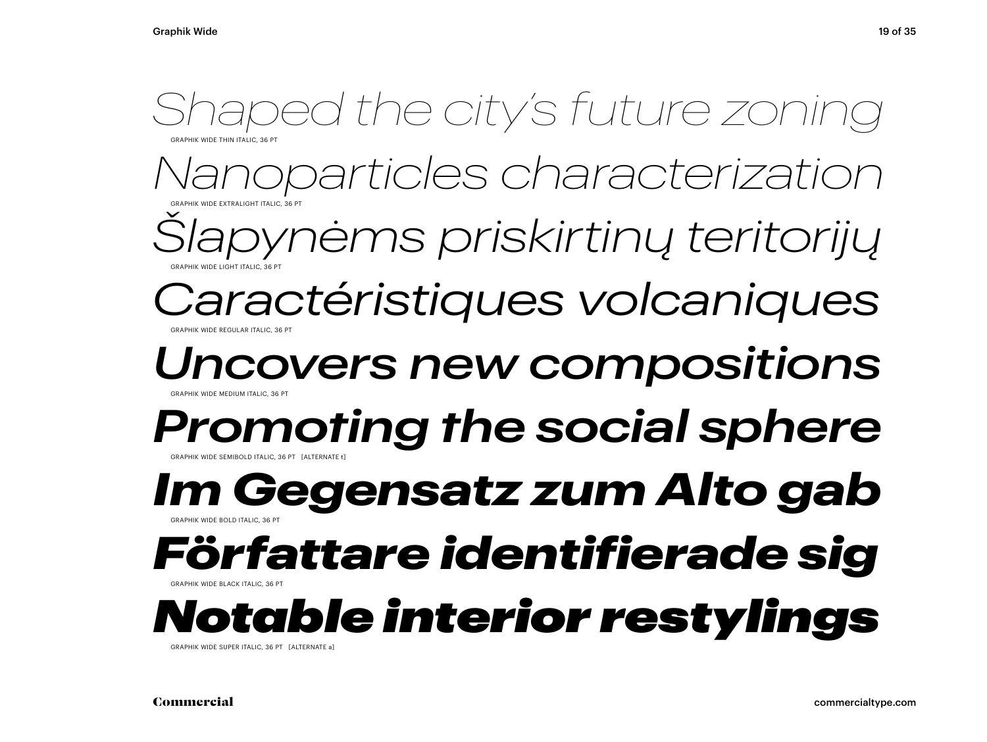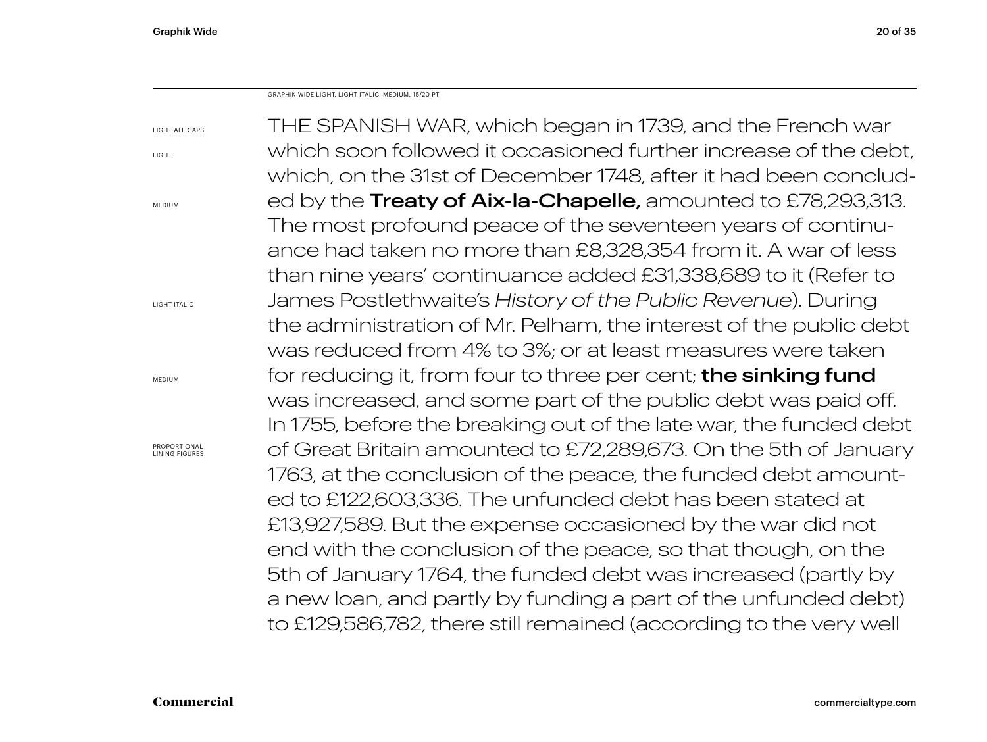Graphik Wide 20 of 35

GRAPHIK WIDE LIGHT, LIGHT ITALIC, MEDIUM, 15/20 PT

| LIGHT ALL CAPS                | THE SPANISH WAR, which began in 1739, and the French war              |
|-------------------------------|-----------------------------------------------------------------------|
| LIGHT                         | which soon followed it occasioned further increase of the debt,       |
|                               | which, on the 31st of December 1748, after it had been conclud-       |
| MEDIUM                        | ed by the <b>Treaty of Aix-la-Chapelle</b> , amounted to £78,293,313. |
|                               | The most profound peace of the seventeen years of continu-            |
|                               | ance had taken no more than £8,328,354 from it. A war of less         |
|                               | than nine years' continuance added £31,338,689 to it (Refer to        |
| LIGHT ITALIC                  | James Postlethwaite's History of the Public Revenue). During          |
|                               | the administration of Mr. Pelham, the interest of the public debt     |
|                               | was reduced from 4% to 3%; or at least measures were taken            |
| MEDIUM                        | for reducing it, from four to three per cent; <b>the sinking fund</b> |
|                               | was increased, and some part of the public debt was paid off.         |
|                               | In 1755, before the breaking out of the late war, the funded debt     |
| PROPORTIONAL<br>INING FIGURES | of Great Britain amounted to £72,289,673. On the 5th of January       |
|                               | 1763, at the conclusion of the peace, the funded debt amount-         |
|                               | ed to £122,603,336. The unfunded debt has been stated at              |
|                               | £13,927,589. But the expense occasioned by the war did not            |
|                               | end with the conclusion of the peace, so that though, on the          |
|                               | 5th of January 1764, the funded debt was increased (partly by         |
|                               | a new loan, and partly by funding a part of the unfunded debt)        |
|                               | to £129,586,782, there still remained (according to the very well     |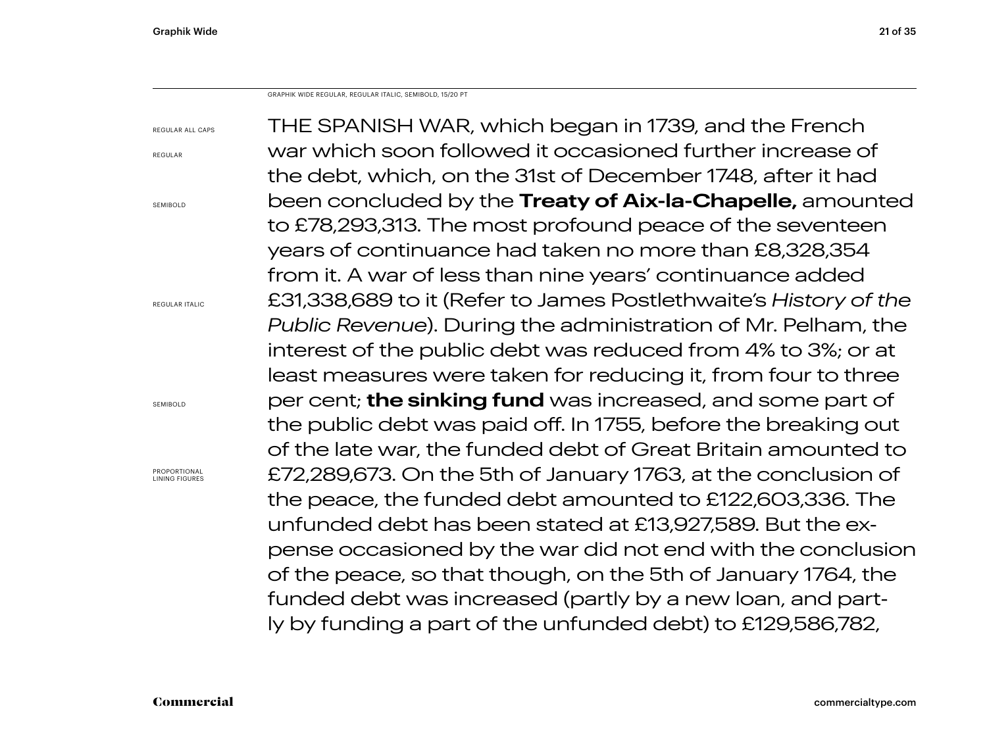GRAPHIK WIDE REGULAR, REGULAR ITALIC, SEMIBOLD, 15/20 PT

| <b>REGULAR ALL CAPS</b>               | THE SPANISH WAR, which began in 1739, and the French              |
|---------------------------------------|-------------------------------------------------------------------|
| REGULAR                               | war which soon followed it occasioned further increase of         |
|                                       | the debt, which, on the 31st of December 1748, after it had       |
| SEMIBOLD                              | been concluded by the Treaty of Aix-la-Chapelle, amounted         |
|                                       | to £78,293,313. The most profound peace of the seventeen          |
|                                       | years of continuance had taken no more than £8,328,354            |
|                                       | from it. A war of less than nine years' continuance added         |
| <b>REGULAR ITALIC</b>                 | £31,338,689 to it (Refer to James Postlethwaite's History of the  |
|                                       | Public Revenue). During the administration of Mr. Pelham, the     |
|                                       | interest of the public debt was reduced from 4% to 3%; or at      |
|                                       | least measures were taken for reducing it, from four to three     |
| SEMIBOLD                              | per cent; <b>the sinking fund</b> was increased, and some part of |
|                                       | the public debt was paid off. In 1755, before the breaking out    |
|                                       | of the late war, the funded debt of Great Britain amounted to     |
| PROPORTIONAL<br><b>LINING FIGURES</b> | £72,289,673. On the 5th of January 1763, at the conclusion of     |
|                                       | the peace, the funded debt amounted to £122,603,336. The          |
|                                       | unfunded debt has been stated at £13,927,589. But the ex-         |
|                                       | pense occasioned by the war did not end with the conclusion       |
|                                       | of the peace, so that though, on the 5th of January 1764, the     |
|                                       | funded debt was increased (partly by a new loan, and part-        |
|                                       | ly by funding a part of the unfunded debt) to £129,586,782,       |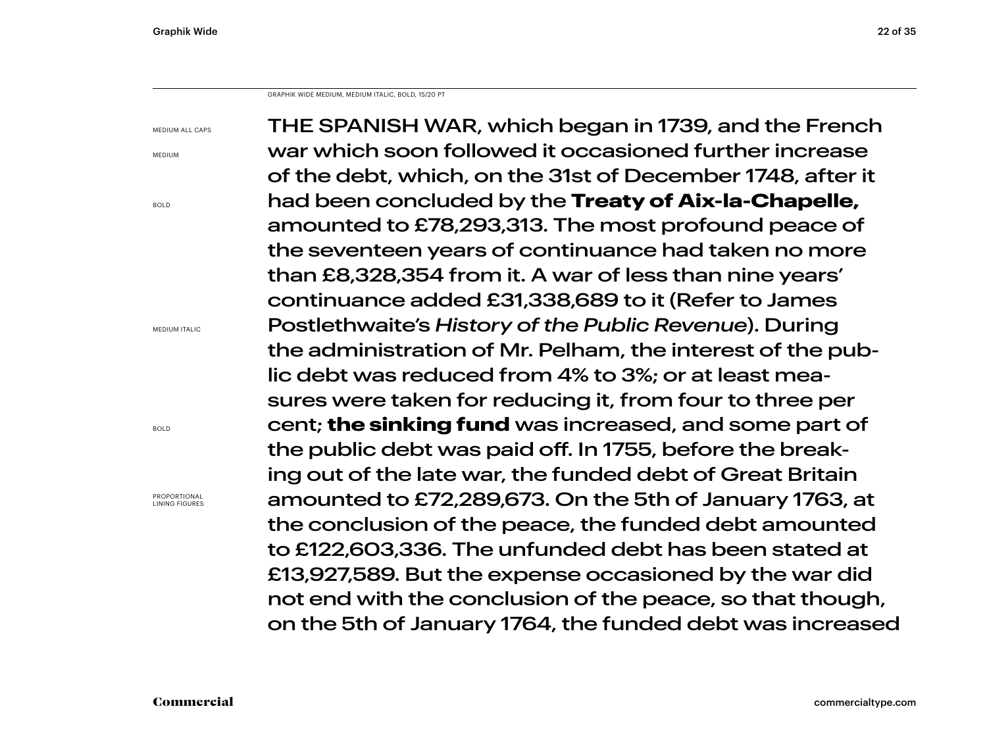Graphik Wide 22 of 35

GRAPHIK WIDE MEDIUM, MEDIUM ITALIC, BOLD, 15/20 PT

MEDIUM ALL CAPS

MEDIUM

BOLD

MEDIUM ITALIC

PROPORTIONAL LINING FIGURES

BOLD

THE SPANISH WAR, which began in 1739, and the French war which soon followed it occasioned further increase of the debt, which, on the 31st of December 1748, after it had been concluded by the **Treaty of Aix-la-Chapelle,**  amounted to £78,293,313. The most profound peace of the seventeen years of continuance had taken no more than £8,328,354 from it. A war of less than nine years' continuance added £31,338,689 to it (Refer to James Postlethwaite's *History of the Public Revenue*). During the administration of Mr. Pelham, the interest of the public debt was reduced from 4% to 3%; or at least measures were taken for reducing it, from four to three per cent; **the sinking fund** was increased, and some part of the public debt was paid off. In 1755, before the breaking out of the late war, the funded debt of Great Britain amounted to £72,289,673. On the 5th of January 1763, at the conclusion of the peace, the funded debt amounted to £122,603,336. The unfunded debt has been stated at £13,927,589. But the expense occasioned by the war did not end with the conclusion of the peace, so that though, on the 5th of January 1764, the funded debt was increased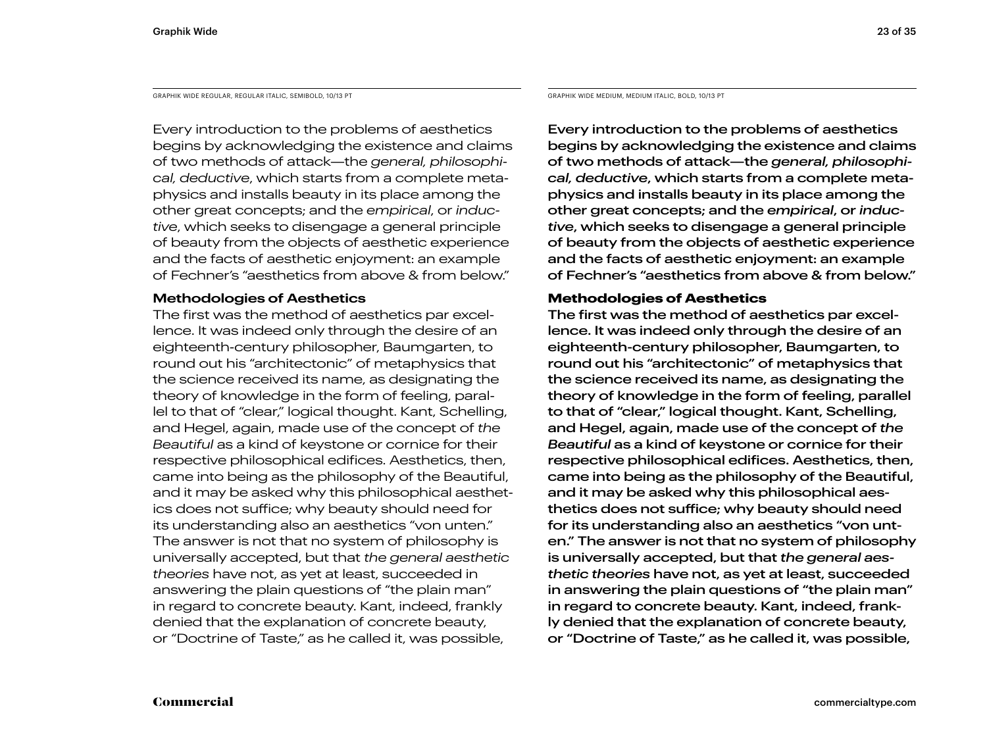GRAPHIK WIDE REGULAR, REGULAR ITALIC, SEMIBOLD, 10/13 PT GRAPHIK WIDE MEDIUM, MEDIUM ITALIC, BOLD, 10/13 PT

Every introduction to the problems of aesthetics begins by acknowledging the existence and claims of two methods of attack—the *general, philosophical, deductive*, which starts from a complete metaphysics and installs beauty in its place among the other great concepts; and the *empirical*, or *inductive*, which seeks to disengage a general principle of beauty from the objects of aesthetic experience and the facts of aesthetic enjoyment: an example of Fechner's "aesthetics from above & from below."

#### **Methodologies of Aesthetics**

The first was the method of aesthetics par excellence. It was indeed only through the desire of an eighteenth-century philosopher, Baumgarten, to round out his "architectonic" of metaphysics that the science received its name, as designating the theory of knowledge in the form of feeling, parallel to that of "clear," logical thought. Kant, Schelling, and Hegel, again, made use of the concept of *the Beautiful* as a kind of keystone or cornice for their respective philosophical edifices. Aesthetics, then, came into being as the philosophy of the Beautiful, and it may be asked why this philosophical aesthetics does not suffice; why beauty should need for its understanding also an aesthetics "von unten." The answer is not that no system of philosophy is universally accepted, but that *the general aesthetic theories* have not, as yet at least, succeeded in answering the plain questions of "the plain man" in regard to concrete beauty. Kant, indeed, frankly denied that the explanation of concrete beauty, or "Doctrine of Taste," as he called it, was possible,

Every introduction to the problems of aesthetics begins by acknowledging the existence and claims of two methods of attack—the *general, philosophical, deductive*, which starts from a complete metaphysics and installs beauty in its place among the other great concepts; and the *empirical*, or *inductive*, which seeks to disengage a general principle of beauty from the objects of aesthetic experience and the facts of aesthetic enjoyment: an example of Fechner's "aesthetics from above & from below."

#### **Methodologies of Aesthetics**

The first was the method of aesthetics par excellence. It was indeed only through the desire of an eighteenth-century philosopher, Baumgarten, to round out his "architectonic" of metaphysics that the science received its name, as designating the theory of knowledge in the form of feeling, parallel to that of "clear," logical thought. Kant, Schelling, and Hegel, again, made use of the concept of *the Beautiful* as a kind of keystone or cornice for their respective philosophical edifices. Aesthetics, then, came into being as the philosophy of the Beautiful, and it may be asked why this philosophical aesthetics does not suffice; why beauty should need for its understanding also an aesthetics "von unten." The answer is not that no system of philosophy is universally accepted, but that *the general aesthetic theories* have not, as yet at least, succeeded in answering the plain questions of "the plain man" in regard to concrete beauty. Kant, indeed, frankly denied that the explanation of concrete beauty, or "Doctrine of Taste," as he called it, was possible,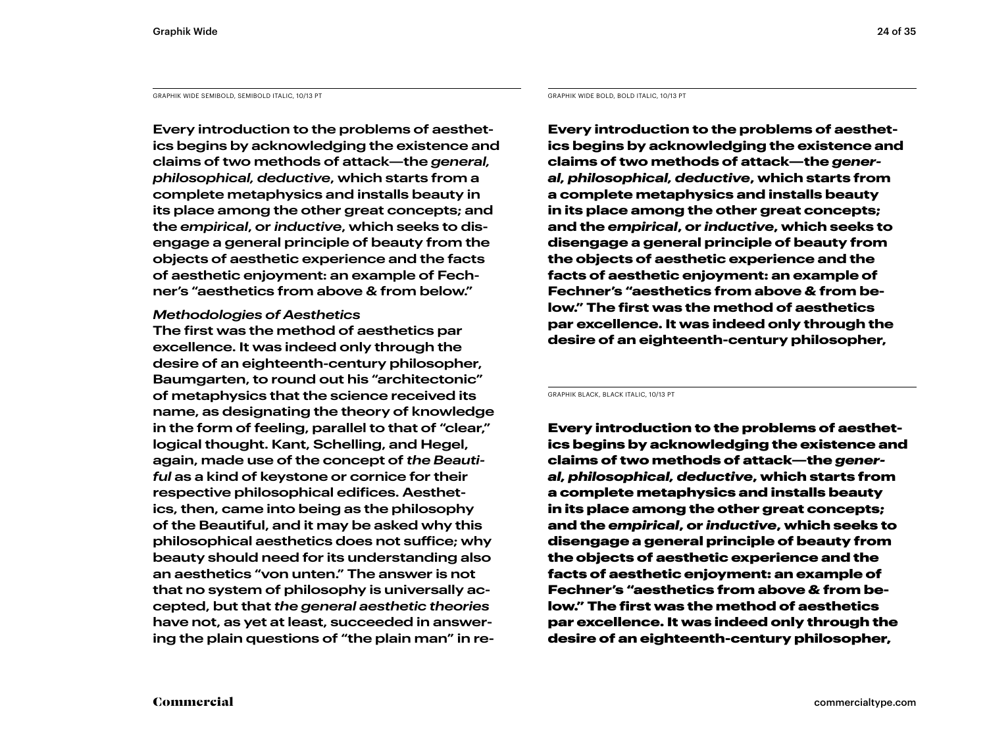GRAPHIK WIDE SEMIBOLD, SEMIBOLD ITALIC, 10/13 PT GRAPHIK WIDE BOLD, BOLD ITALIC, 10/13 PT

**Every introduction to the problems of aesthetics begins by acknowledging the existence and claims of two methods of attack—the** *general, philosophical, deductive***, which starts from a complete metaphysics and installs beauty in its place among the other great concepts; and the** *empirical***, or** *inductive***, which seeks to disengage a general principle of beauty from the objects of aesthetic experience and the facts of aesthetic enjoyment: an example of Fechner's "aesthetics from above & from below."** 

#### *Methodologies of Aesthetics*

**The first was the method of aesthetics par excellence. It was indeed only through the desire of an eighteenth-century philosopher, Baumgarten, to round out his "architectonic" of metaphysics that the science received its name, as designating the theory of knowledge in the form of feeling, parallel to that of "clear," logical thought. Kant, Schelling, and Hegel, again, made use of the concept of** *the Beautiful* **as a kind of keystone or cornice for their respective philosophical edifices. Aesthetics, then, came into being as the philosophy of the Beautiful, and it may be asked why this philosophical aesthetics does not suffice; why beauty should need for its understanding also an aesthetics "von unten." The answer is not that no system of philosophy is universally accepted, but that** *the general aesthetic theories*  **have not, as yet at least, succeeded in answering the plain questions of "the plain man" in re-**

**Every introduction to the problems of aesthetics begins by acknowledging the existence and claims of two methods of attack—the** *general, philosophical, deductive***, which starts from a complete metaphysics and installs beauty in its place among the other great concepts; and the** *empirical***, or** *inductive***, which seeks to disengage a general principle of beauty from the objects of aesthetic experience and the facts of aesthetic enjoyment: an example of Fechner's "aesthetics from above & from below." The first was the method of aesthetics par excellence. It was indeed only through the desire of an eighteenth-century philosopher,** 

GRAPHIK BLACK, BLACK ITALIC, 10/13 PT

Every introduction to the problems of aesthetics begins by acknowledging the existence and claims of two methods of attack—the *general, philosophical, deductive*, which starts from a complete metaphysics and installs beauty in its place among the other great concepts; and the *empirical*, or *inductive*, which seeks to disengage a general principle of beauty from the objects of aesthetic experience and the facts of aesthetic enjoyment: an example of Fechner's "aesthetics from above & from below." The first was the method of aesthetics par excellence. It was indeed only through the desire of an eighteenth-century philosopher,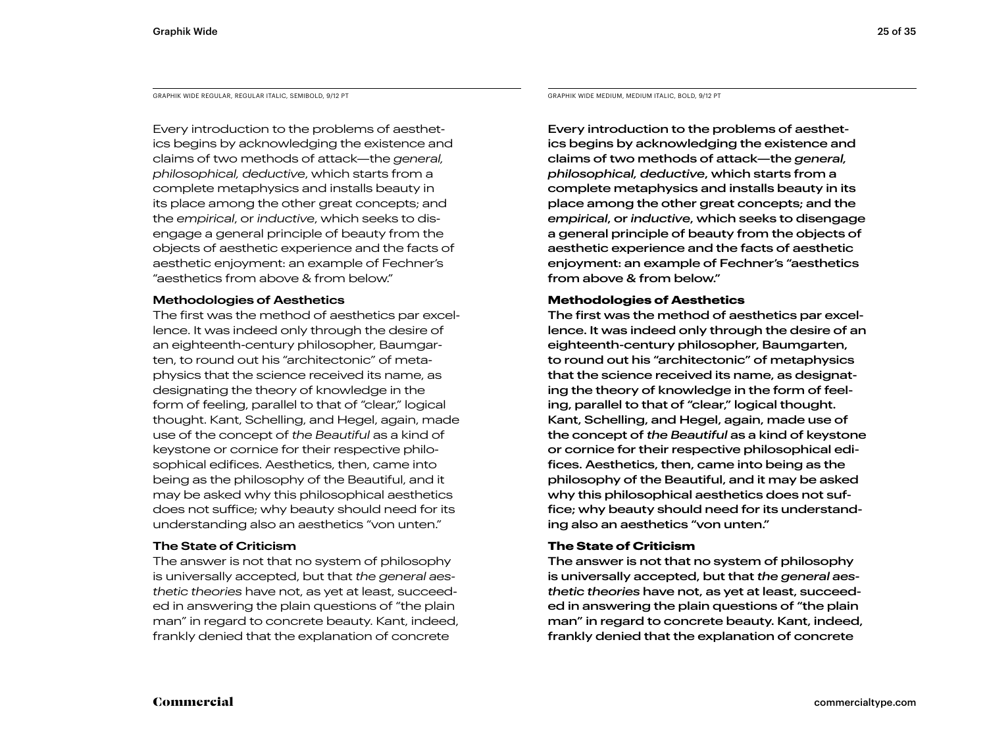GRAPHIK WIDE REGULAR, REGULAR ITALIC, SEMIBOLD, 9/12 PT

Every introduction to the problems of aesthetics begins by acknowledging the existence and claims of two methods of attack—the *general, philosophical, deductive*, which starts from a complete metaphysics and installs beauty in its place among the other great concepts; and the *empirical*, or *inductive*, which seeks to disengage a general principle of beauty from the objects of aesthetic experience and the facts of aesthetic enjoyment: an example of Fechner's "aesthetics from above & from below."

#### **Methodologies of Aesthetics**

The first was the method of aesthetics par excellence. It was indeed only through the desire of an eighteenth-century philosopher, Baumgarten, to round out his "architectonic" of metaphysics that the science received its name, as designating the theory of knowledge in the form of feeling, parallel to that of "clear," logical thought. Kant, Schelling, and Hegel, again, made use of the concept of *the Beautiful* as a kind of keystone or cornice for their respective philosophical edifices. Aesthetics, then, came into being as the philosophy of the Beautiful, and it may be asked why this philosophical aesthetics does not suffice; why beauty should need for its understanding also an aesthetics "von unten."

#### **The State of Criticism**

The answer is not that no system of philosophy is universally accepted, but that *the general aesthetic theories* have not, as yet at least, succeeded in answering the plain questions of "the plain man" in regard to concrete beauty. Kant, indeed, frankly denied that the explanation of concrete

GRAPHIK WIDE MEDIUM, MEDIUM ITALIC, BOLD, 9/12 PT

Every introduction to the problems of aesthetics begins by acknowledging the existence and claims of two methods of attack—the *general, philosophical, deductive*, which starts from a complete metaphysics and installs beauty in its place among the other great concepts; and the *empirical*, or *inductive*, which seeks to disengage a general principle of beauty from the objects of aesthetic experience and the facts of aesthetic enjoyment: an example of Fechner's "aesthetics from above & from below."

#### **Methodologies of Aesthetics**

The first was the method of aesthetics par excellence. It was indeed only through the desire of an eighteenth-century philosopher, Baumgarten, to round out his "architectonic" of metaphysics that the science received its name, as designating the theory of knowledge in the form of feeling, parallel to that of "clear," logical thought. Kant, Schelling, and Hegel, again, made use of the concept of *the Beautiful* as a kind of keystone or cornice for their respective philosophical edifices. Aesthetics, then, came into being as the philosophy of the Beautiful, and it may be asked why this philosophical aesthetics does not suffice; why beauty should need for its understanding also an aesthetics "von unten."

#### **The State of Criticism**

The answer is not that no system of philosophy is universally accepted, but that *the general aesthetic theories* have not, as yet at least, succeeded in answering the plain questions of "the plain man" in regard to concrete beauty. Kant, indeed, frankly denied that the explanation of concrete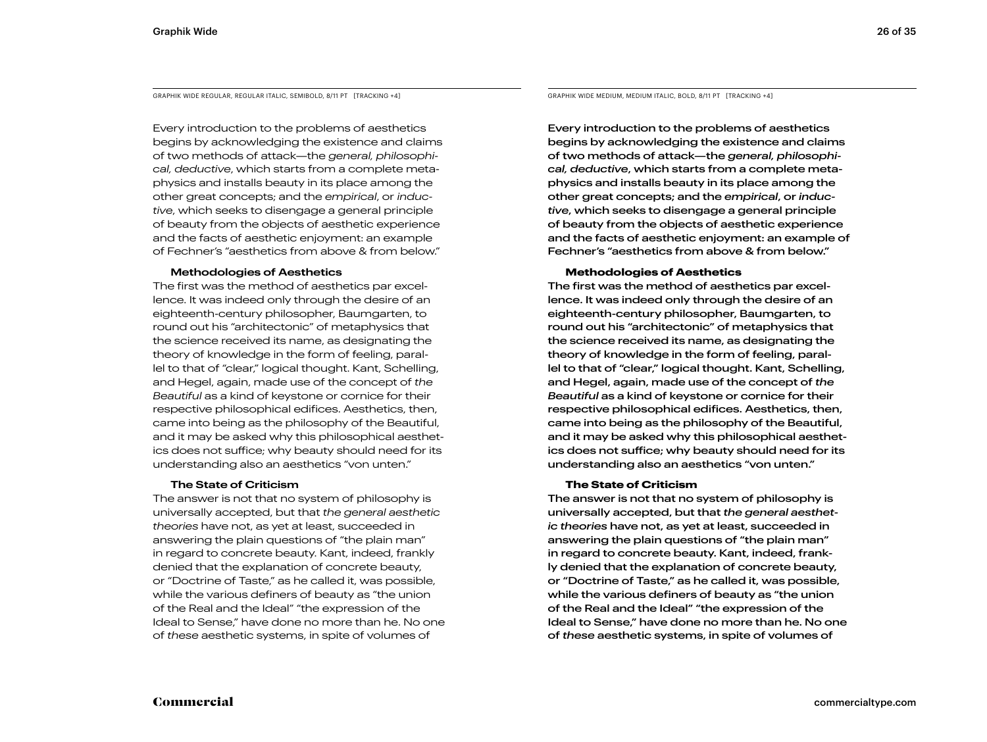GRAPHIK WIDE REGULAR, REGULAR ITALIC, SEMIBOLD, 8/11 PT [TRACKING +4]

Every introduction to the problems of aesthetics begins by acknowledging the existence and claims of two methods of attack—the *general, philosophical, deductive*, which starts from a complete metaphysics and installs beauty in its place among the other great concepts; and the *empirical*, or *inductive*, which seeks to disengage a general principle of beauty from the objects of aesthetic experience and the facts of aesthetic enjoyment: an example of Fechner's "aesthetics from above & from below."

#### **Methodologies of Aesthetics**

The first was the method of aesthetics par excellence. It was indeed only through the desire of an eighteenth-century philosopher, Baumgarten, to round out his "architectonic" of metaphysics that the science received its name, as designating the theory of knowledge in the form of feeling, parallel to that of "clear," logical thought. Kant, Schelling, and Hegel, again, made use of the concept of *the Beautiful* as a kind of keystone or cornice for their respective philosophical edifices. Aesthetics, then, came into being as the philosophy of the Beautiful, and it may be asked why this philosophical aesthetics does not suffice; why beauty should need for its understanding also an aesthetics "von unten."

#### **The State of Criticism**

The answer is not that no system of philosophy is universally accepted, but that *the general aesthetic theories* have not, as yet at least, succeeded in answering the plain questions of "the plain man" in regard to concrete beauty. Kant, indeed, frankly denied that the explanation of concrete beauty, or "Doctrine of Taste," as he called it, was possible, while the various definers of beauty as "the union of the Real and the Ideal" "the expression of the Ideal to Sense," have done no more than he. No one of *these* aesthetic systems, in spite of volumes of

GRAPHIK WIDE MEDIUM, MEDIUM ITALIC, BOLD, 8/11 PT [TRACKING +4]

Every introduction to the problems of aesthetics begins by acknowledging the existence and claims of two methods of attack—the *general, philosophical, deductive*, which starts from a complete metaphysics and installs beauty in its place among the other great concepts; and the *empirical*, or *inductive*, which seeks to disengage a general principle of beauty from the objects of aesthetic experience and the facts of aesthetic enjoyment: an example of Fechner's "aesthetics from above & from below."

#### **Methodologies of Aesthetics**

The first was the method of aesthetics par excellence. It was indeed only through the desire of an eighteenth-century philosopher, Baumgarten, to round out his "architectonic" of metaphysics that the science received its name, as designating the theory of knowledge in the form of feeling, parallel to that of "clear," logical thought. Kant, Schelling, and Hegel, again, made use of the concept of *the Beautiful* as a kind of keystone or cornice for their respective philosophical edifices. Aesthetics, then, came into being as the philosophy of the Beautiful, and it may be asked why this philosophical aesthetics does not suffice; why beauty should need for its understanding also an aesthetics "von unten."

#### **The State of Criticism**

The answer is not that no system of philosophy is universally accepted, but that *the general aesthetic theories* have not, as yet at least, succeeded in answering the plain questions of "the plain man" in regard to concrete beauty. Kant, indeed, frankly denied that the explanation of concrete beauty, or "Doctrine of Taste," as he called it, was possible, while the various definers of beauty as "the union of the Real and the Ideal" "the expression of the Ideal to Sense," have done no more than he. No one of *these* aesthetic systems, in spite of volumes of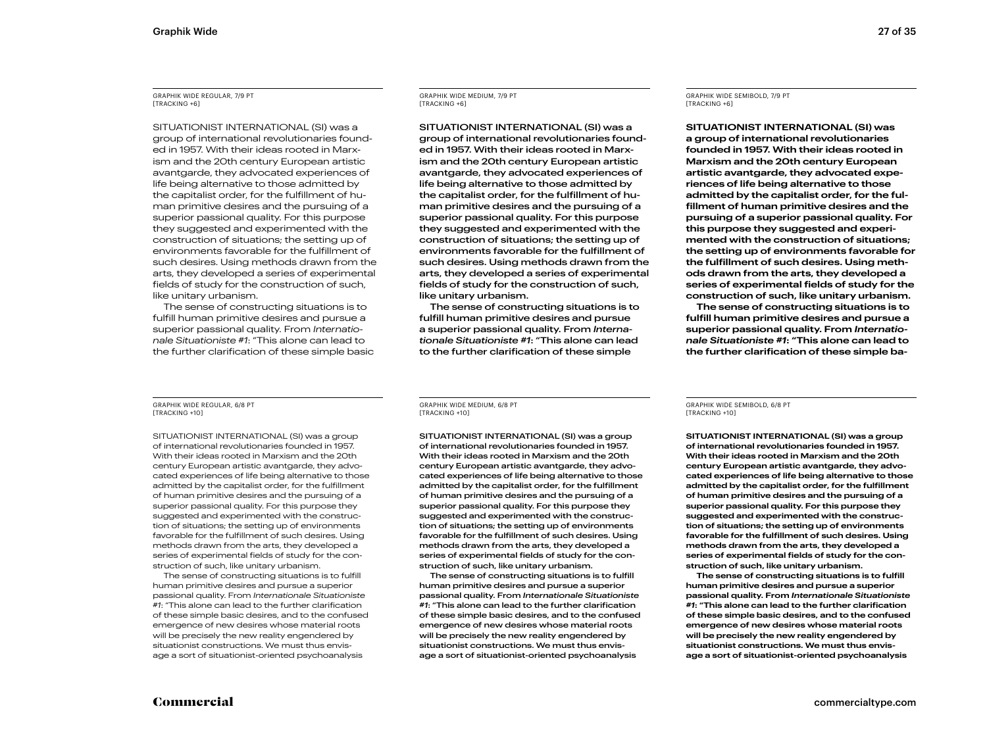GRAPHIK WIDE REGULAR, 7/9 PT [TRACKING +6]

SITUATIONIST INTERNATIONAL (SI) was a group of international revolutionaries founded in 1957. With their ideas rooted in Marxism and the 20th century European artistic avantgarde, they advocated experiences of life being alternative to those admitted by the capitalist order, for the fulfillment of human primitive desires and the pursuing of a superior passional quality. For this purpose they suggested and experimented with the construction of situations; the setting up of environments favorable for the fulfillment of such desires. Using methods drawn from the arts, they developed a series of experimental fields of study for the construction of such, like unitary urbanism.

The sense of constructing situations is to fulfill human primitive desires and pursue a superior passional quality. From *Internationale Situationiste #1*: "This alone can lead to the further clarification of these simple basic GRAPHIK WIDE MEDIUM, 7/9 PT [TRACKING +6]

SITUATIONIST INTERNATIONAL (SI) was a group of international revolutionaries founded in 1957. With their ideas rooted in Marxism and the 20th century European artistic avantgarde, they advocated experiences of life being alternative to those admitted by the capitalist order, for the fulfillment of human primitive desires and the pursuing of a superior passional quality. For this purpose they suggested and experimented with the construction of situations; the setting up of environments favorable for the fulfillment of such desires. Using methods drawn from the arts, they developed a series of experimental fields of study for the construction of such, like unitary urbanism.

The sense of constructing situations is to fulfill human primitive desires and pursue a superior passional quality. From *Internationale Situationiste #1*: "This alone can lead to the further clarification of these simple

GRAPHIK WIDE REGULAR, 6/8 PT [TRACKING +10]

SITUATIONIST INTERNATIONAL (SI) was a group of international revolutionaries founded in 1957. With their ideas rooted in Marxism and the 20th century European artistic avantgarde, they advocated experiences of life being alternative to those admitted by the capitalist order, for the fulfillment of human primitive desires and the pursuing of a superior passional quality. For this purpose they suggested and experimented with the construction of situations; the setting up of environments favorable for the fulfillment of such desires. Using methods drawn from the arts, they developed a series of experimental fields of study for the construction of such, like unitary urbanism.

The sense of constructing situations is to fulfill human primitive desires and pursue a superior passional quality. From *Internationale Situationiste #1*: "This alone can lead to the further clarification of these simple basic desires, and to the confused emergence of new desires whose material roots will be precisely the new reality engendered by situationist constructions. We must thus envisage a sort of situationist-oriented psychoanalysis

GRAPHIK WIDE MEDIUM, 6/8 PT [TRACKING +10]

SITUATIONIST INTERNATIONAL (SI) was a group of international revolutionaries founded in 1957. With their ideas rooted in Marxism and the 20th century European artistic avantgarde, they advocated experiences of life being alternative to those admitted by the capitalist order, for the fulfillment of human primitive desires and the pursuing of a superior passional quality. For this purpose they suggested and experimented with the construction of situations; the setting up of environments favorable for the fulfillment of such desires. Using methods drawn from the arts, they developed a series of experimental fields of study for the construction of such, like unitary urbanism.

The sense of constructing situations is to fulfill human primitive desires and pursue a superior passional quality. From *Internationale Situationiste #1*: "This alone can lead to the further clarification of these simple basic desires, and to the confused emergence of new desires whose material roots will be precisely the new reality engendered by situationist constructions. We must thus envisage a sort of situationist-oriented psychoanalysis

GRAPHIK WIDE SEMIBOLD, 7/9 PT [TRACKING +6]

**SITUATIONIST INTERNATIONAL (SI) was a group of international revolutionaries founded in 1957. With their ideas rooted in Marxism and the 20th century European artistic avantgarde, they advocated experiences of life being alternative to those admitted by the capitalist order, for the fulfillment of human primitive desires and the pursuing of a superior passional quality. For this purpose they suggested and experimented with the construction of situations; the setting up of environments favorable for the fulfillment of such desires. Using methods drawn from the arts, they developed a series of experimental fields of study for the construction of such, like unitary urbanism.**

**The sense of constructing situations is to fulfill human primitive desires and pursue a superior passional quality. From** *Internationale Situationiste #1***: "This alone can lead to the further clarification of these simple ba-**

GRAPHIK WIDE SEMIBOLD, 6/8 PT [TRACKING +10]

**SITUATIONIST INTERNATIONAL (SI) was a group of international revolutionaries founded in 1957. With their ideas rooted in Marxism and the 20th century European artistic avantgarde, they advocated experiences of life being alternative to those admitted by the capitalist order, for the fulfillment of human primitive desires and the pursuing of a superior passional quality. For this purpose they suggested and experimented with the construction of situations; the setting up of environments favorable for the fulfillment of such desires. Using methods drawn from the arts, they developed a series of experimental fields of study for the construction of such, like unitary urbanism.**

**The sense of constructing situations is to fulfill human primitive desires and pursue a superior passional quality. From** *Internationale Situationiste #1***: "This alone can lead to the further clarification of these simple basic desires, and to the confused emergence of new desires whose material roots will be precisely the new reality engendered by situationist constructions. We must thus envisage a sort of situationist-oriented psychoanalysis**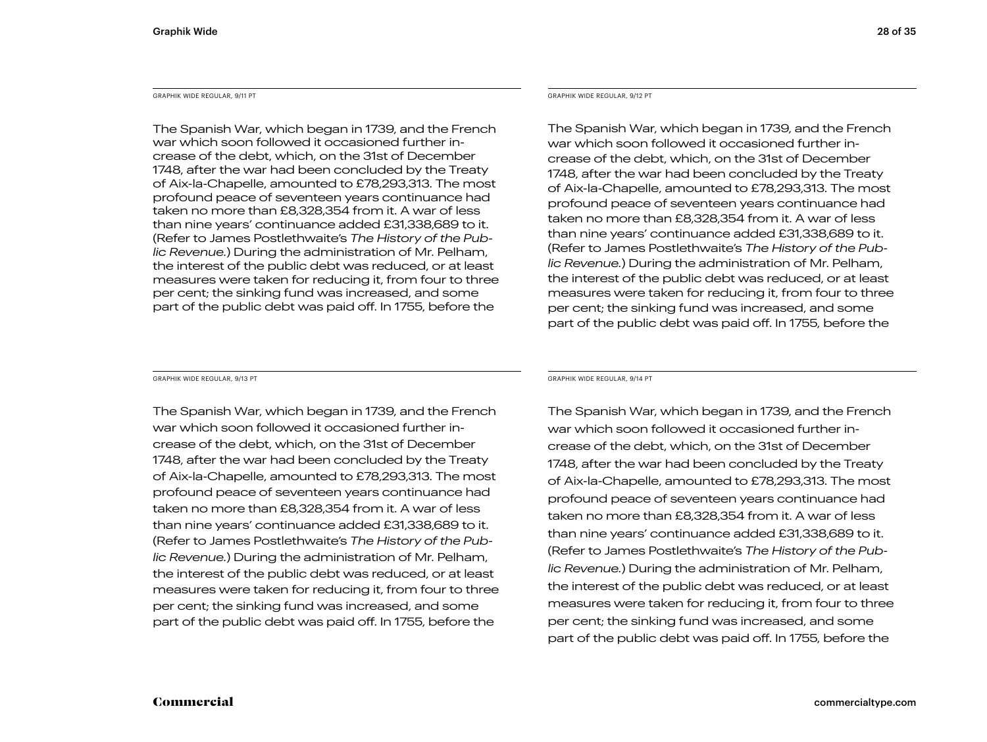The Spanish War, which began in 1739, and the French war which soon followed it occasioned further increase of the debt, which, on the 31st of December 1748, after the war had been concluded by the Treaty of Aix-la-Chapelle, amounted to £78,293,313. The most profound peace of seventeen years continuance had taken no more than £8,328,354 from it. A war of less than nine years' continuance added £31,338,689 to it. (Refer to James Postlethwaite's *The History of the Public Revenue.*) During the administration of Mr. Pelham, the interest of the public debt was reduced, or at least measures were taken for reducing it, from four to three per cent; the sinking fund was increased, and some part of the public debt was paid off. In 1755, before the

GRAPHIK WIDE REGULAR, 9/13 PT GRAPHIK WIDE REGULAR, 9/14 PT

The Spanish War, which began in 1739, and the French war which soon followed it occasioned further increase of the debt, which, on the 31st of December 1748, after the war had been concluded by the Treaty of Aix-la-Chapelle, amounted to £78,293,313. The most profound peace of seventeen years continuance had taken no more than £8,328,354 from it. A war of less than nine years' continuance added £31,338,689 to it. (Refer to James Postlethwaite's *The History of the Public Revenue.*) During the administration of Mr. Pelham, the interest of the public debt was reduced, or at least measures were taken for reducing it, from four to three per cent; the sinking fund was increased, and some part of the public debt was paid off. In 1755, before the

#### GRAPHIK WIDE REGULAR, 9/11 PT GRAPHIK WIDE REGULAR, 9/12 PT

The Spanish War, which began in 1739, and the French war which soon followed it occasioned further increase of the debt, which, on the 31st of December 1748, after the war had been concluded by the Treaty of Aix-la-Chapelle, amounted to £78,293,313. The most profound peace of seventeen years continuance had taken no more than £8,328,354 from it. A war of less than nine years' continuance added £31,338,689 to it. (Refer to James Postlethwaite's *The History of the Public Revenue.*) During the administration of Mr. Pelham, the interest of the public debt was reduced, or at least measures were taken for reducing it, from four to three per cent; the sinking fund was increased, and some part of the public debt was paid off. In 1755, before the

The Spanish War, which began in 1739, and the French war which soon followed it occasioned further increase of the debt, which, on the 31st of December 1748, after the war had been concluded by the Treaty of Aix-la-Chapelle, amounted to £78,293,313. The most profound peace of seventeen years continuance had taken no more than £8,328,354 from it. A war of less than nine years' continuance added £31,338,689 to it. (Refer to James Postlethwaite's *The History of the Public Revenue.*) During the administration of Mr. Pelham, the interest of the public debt was reduced, or at least measures were taken for reducing it, from four to three per cent; the sinking fund was increased, and some part of the public debt was paid off. In 1755, before the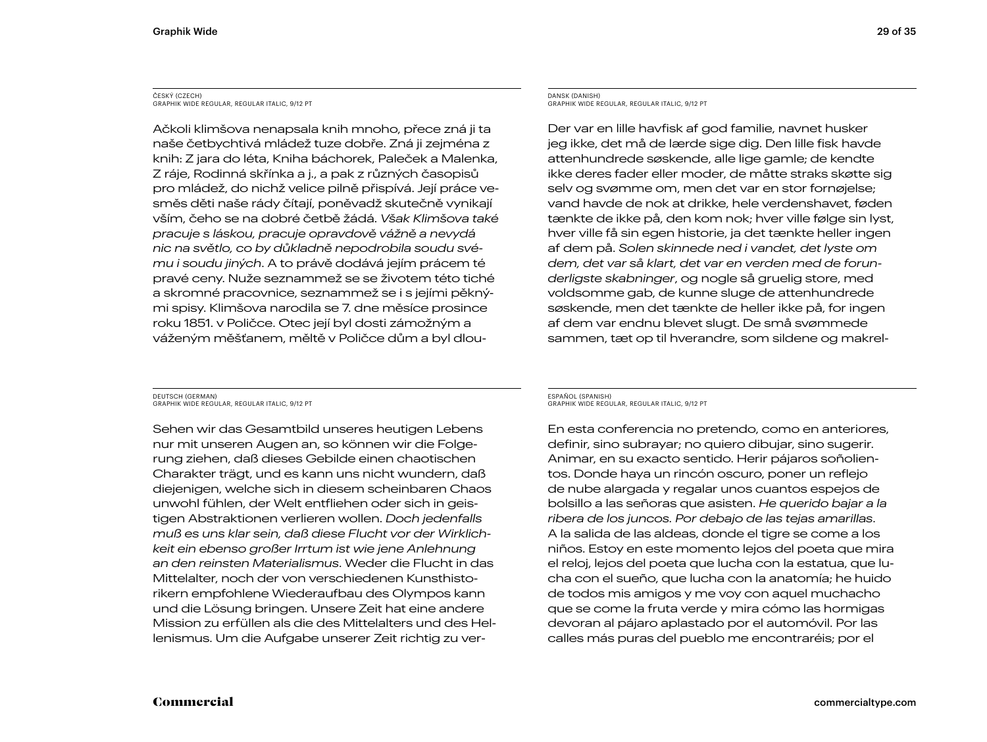#### ČESKÝ (CZECH) GRAPHIK WIDE REGULAR, REGULAR ITALIC, 9/12 PT

Ačkoli klimšova nenapsala knih mnoho, přece zná ji ta naše četbychtivá mládež tuze dobře. Zná ji zejména z knih: Z jara do léta, Kniha báchorek, Paleček a Malenka, Z ráje, Rodinná skřínka a j., a pak z různých časopisů pro mládež, do nichž velice pilně přispívá. Její práce vesměs děti naše rády čítají, poněvadž skutečně vynikají vším, čeho se na dobré četbě žádá. *Však Klimšova také pracuje s láskou, pracuje opravdově vážně a nevydá nic na světlo, co by důkladně nepodrobila soudu svému i soudu jiných*. A to právě dodává jejím prácem té pravé ceny. Nuže seznammež se se životem této tiché a skromné pracovnice, seznammež se i s jejími pěknými spisy. Klimšova narodila se 7. dne měsíce prosince roku 1851. v Poličce. Otec její byl dosti zámožným a váženým měšťanem, měltě v Poličce dům a byl dlou-

#### DANSK (DANISH) GRAPHIK WIDE REGULAR, REGULAR ITALIC, 9/12 PT

Der var en lille havfisk af god familie, navnet husker jeg ikke, det må de lærde sige dig. Den lille fisk havde attenhundrede søskende, alle lige gamle; de kendte ikke deres fader eller moder, de måtte straks skøtte sig selv og svømme om, men det var en stor fornøjelse; vand havde de nok at drikke, hele verdenshavet, føden tænkte de ikke på, den kom nok; hver ville følge sin lyst, hver ville få sin egen historie, ja det tænkte heller ingen af dem på. *Solen skinnede ned i vandet, det lyste om dem, det var så klart, det var en verden med de forunderligste skabninger*, og nogle så gruelig store, med voldsomme gab, de kunne sluge de attenhundrede søskende, men det tænkte de heller ikke på, for ingen af dem var endnu blevet slugt. De små svømmede sammen, tæt op til hverandre, som sildene og makrel-

DEUTSCH (GERMAN) GRAPHIK WIDE REGULAR, REGULAR ITALIC, 9/12 PT

Sehen wir das Gesamtbild unseres heutigen Lebens nur mit unseren Augen an, so können wir die Folgerung ziehen, daß dieses Gebilde einen chaotischen Charakter trägt, und es kann uns nicht wundern, daß diejenigen, welche sich in diesem scheinbaren Chaos unwohl fühlen, der Welt entfliehen oder sich in geistigen Abstraktionen verlieren wollen. *Doch jedenfalls muß es uns klar sein, daß diese Flucht vor der Wirklichkeit ein ebenso großer Irrtum ist wie jene Anlehnung an den reinsten Materialismus*. Weder die Flucht in das Mittelalter, noch der von verschiedenen Kunsthistorikern empfohlene Wiederaufbau des Olympos kann und die Lösung bringen. Unsere Zeit hat eine andere Mission zu erfüllen als die des Mittelalters und des Hellenismus. Um die Aufgabe unserer Zeit richtig zu ver-

#### ESPAÑOL (SPANISH) GRAPHIK WIDE REGULAR, REGULAR ITALIC, 9/12 PT

En esta conferencia no pretendo, como en anteriores, definir, sino subrayar; no quiero dibujar, sino sugerir. Animar, en su exacto sentido. Herir pájaros soñolientos. Donde haya un rincón oscuro, poner un reflejo de nube alargada y regalar unos cuantos espejos de bolsillo a las señoras que asisten. *He querido bajar a la ribera de los juncos. Por debajo de las tejas amarillas*. A la salida de las aldeas, donde el tigre se come a los niños. Estoy en este momento lejos del poeta que mira el reloj, lejos del poeta que lucha con la estatua, que lucha con el sueño, que lucha con la anatomía; he huido de todos mis amigos y me voy con aquel muchacho que se come la fruta verde y mira cómo las hormigas devoran al pájaro aplastado por el automóvil. Por las calles más puras del pueblo me encontraréis; por el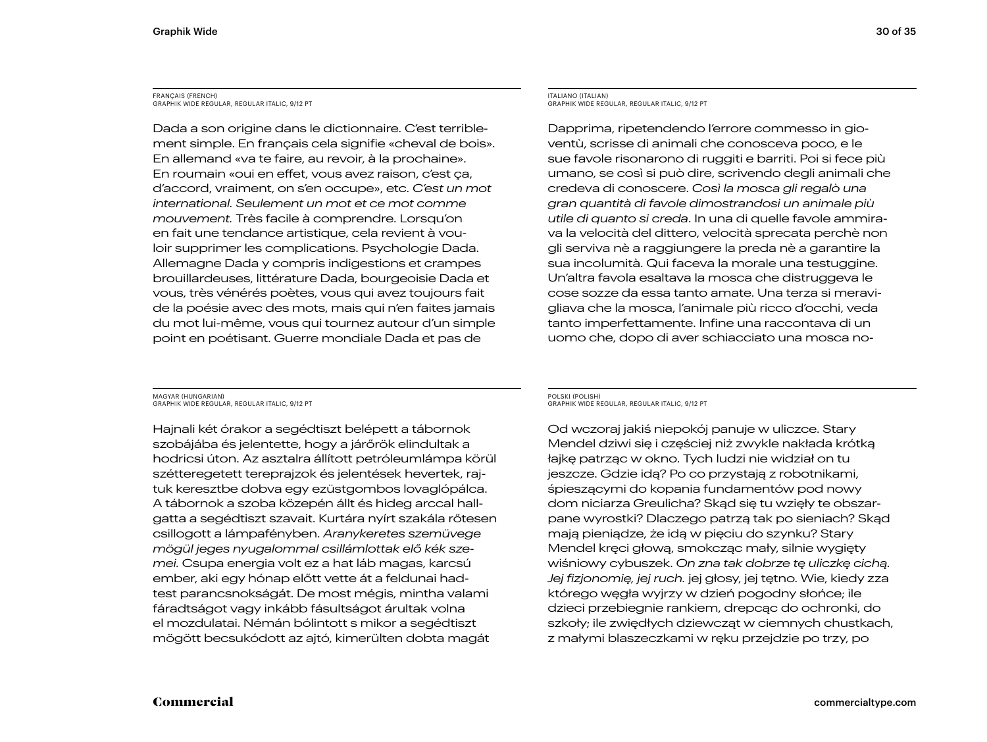#### FRANÇAIS (FRENCH) GRAPHIK WIDE REGULAR, REGULAR ITALIC, 9/12 PT

Dada a son origine dans le dictionnaire. C'est terriblement simple. En français cela signifie «cheval de bois». En allemand «va te faire, au revoir, à la prochaine». En roumain «oui en effet, vous avez raison, c'est ça, d'accord, vraiment, on s'en occupe», etc. *C'est un mot international. Seulement un mot et ce mot comme mouvement.* Très facile à comprendre. Lorsqu'on en fait une tendance artistique, cela revient à vouloir supprimer les complications. Psychologie Dada. Allemagne Dada y compris indigestions et crampes brouillardeuses, littérature Dada, bourgeoisie Dada et vous, très vénérés poètes, vous qui avez toujours fait de la poésie avec des mots, mais qui n'en faites jamais du mot lui-même, vous qui tournez autour d'un simple point en poétisant. Guerre mondiale Dada et pas de

#### ITALIANO (ITALIAN) GRAPHIK WIDE REGULAR, REGULAR ITALIC, 9/12 PT

Dapprima, ripetendendo l'errore commesso in gioventù, scrisse di animali che conosceva poco, e le sue favole risonarono di ruggiti e barriti. Poi si fece più umano, se così si può dire, scrivendo degli animali che credeva di conoscere. *Così la mosca gli regalò una gran quantità di favole dimostrandosi un animale più utile di quanto si creda*. In una di quelle favole ammirava la velocità del dittero, velocità sprecata perchè non gli serviva nè a raggiungere la preda nè a garantire la sua incolumità. Qui faceva la morale una testuggine. Un'altra favola esaltava la mosca che distruggeva le cose sozze da essa tanto amate. Una terza si meravigliava che la mosca, l'animale più ricco d'occhi, veda tanto imperfettamente. Infine una raccontava di un uomo che, dopo di aver schiacciato una mosca no-

MAGYAR (HUNGARIAN) GRAPHIK WIDE REGULAR, REGULAR ITALIC, 9/12 PT

Hajnali két órakor a segédtiszt belépett a tábornok szobájába és jelentette, hogy a járőrök elindultak a hodricsi úton. Az asztalra állított petróleumlámpa körül szétteregetett tereprajzok és jelentések hevertek, rajtuk keresztbe dobva egy ezüstgombos lovaglópálca. A tábornok a szoba közepén állt és hideg arccal hallgatta a segédtiszt szavait. Kurtára nyírt szakála rőtesen csillogott a lámpafényben. *Aranykeretes szemüvege mögül jeges nyugalommal csillámlottak elő kék szemei.* Csupa energia volt ez a hat láb magas, karcsú ember, aki egy hónap előtt vette át a feldunai hadtest parancsnokságát. De most mégis, mintha valami fáradtságot vagy inkább fásultságot árultak volna el mozdulatai. Némán bólintott s mikor a segédtiszt mögött becsukódott az ajtó, kimerülten dobta magát

#### POLSKI (POLISH) GRAPHIK WIDE REGULAR, REGULAR ITALIC, 9/12 PT

Od wczoraj jakiś niepokój panuje w uliczce. Stary Mendel dziwi się i częściej niż zwykle nakłada krótką łajkę patrząc w okno. Tych ludzi nie widział on tu jeszcze. Gdzie idą? Po co przystają z robotnikami, śpieszącymi do kopania fundamentów pod nowy dom niciarza Greulicha? Skąd się tu wzięły te obszarpane wyrostki? Dlaczego patrzą tak po sieniach? Skąd mają pieniądze, że idą w pięciu do szynku? Stary Mendel kręci głową, smokcząc mały, silnie wygięty wiśniowy cybuszek. *On zna tak dobrze tę uliczkę cichą. Jej fizjonomię, jej ruch.* jej głosy, jej tętno. Wie, kiedy zza którego węgła wyjrzy w dzień pogodny słońce; ile dzieci przebiegnie rankiem, drepcąc do ochronki, do szkoły; ile zwiędłych dziewcząt w ciemnych chustkach, z małymi blaszeczkami w ręku przejdzie po trzy, po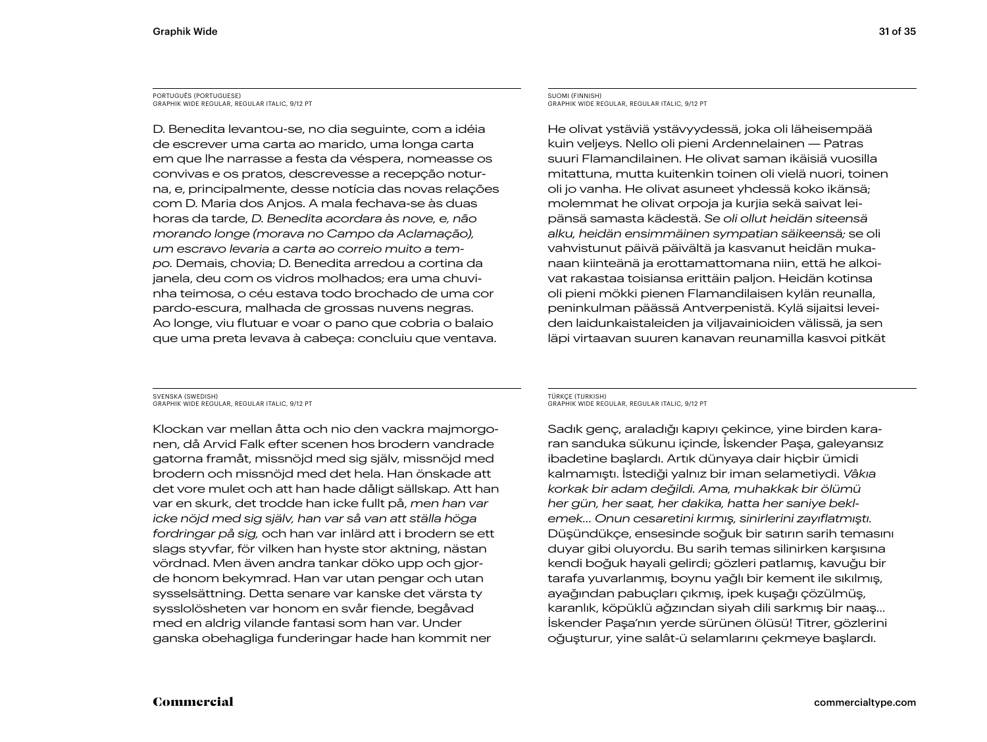#### PORTUGUÊS (PORTUGUESE) GRAPHIK WIDE REGULAR, REGULAR ITALIC, 9/12 PT

D. Benedita levantou-se, no dia seguinte, com a idéia de escrever uma carta ao marido, uma longa carta em que lhe narrasse a festa da véspera, nomeasse os convivas e os pratos, descrevesse a recepção noturna, e, principalmente, desse notícia das novas relações com D. Maria dos Anjos. A mala fechava-se às duas horas da tarde, *D. Benedita acordara às nove, e, não morando longe (morava no Campo da Aclamação), um escravo levaria a carta ao correio muito a tempo.* Demais, chovia; D. Benedita arredou a cortina da janela, deu com os vidros molhados; era uma chuvinha teimosa, o céu estava todo brochado de uma cor pardo-escura, malhada de grossas nuvens negras. Ao longe, viu flutuar e voar o pano que cobria o balaio que uma preta levava à cabeça: concluiu que ventava.

#### SUOMI (FINNISH) GRAPHIK WIDE REGULAR, REGULAR ITALIC, 9/12 PT

He olivat ystäviä ystävyydessä, joka oli läheisempää kuin veljeys. Nello oli pieni Ardennelainen — Patras suuri Flamandilainen. He olivat saman ikäisiä vuosilla mitattuna, mutta kuitenkin toinen oli vielä nuori, toinen oli jo vanha. He olivat asuneet yhdessä koko ikänsä; molemmat he olivat orpoja ja kurjia sekä saivat leipänsä samasta kädestä. *Se oli ollut heidän siteensä alku, heidän ensimmäinen sympatian säikeensä;* se oli vahvistunut päivä päivältä ja kasvanut heidän mukanaan kiinteänä ja erottamattomana niin, että he alkoivat rakastaa toisiansa erittäin paljon. Heidän kotinsa oli pieni mökki pienen Flamandilaisen kylän reunalla, peninkulman päässä Antverpenistä. Kylä sijaitsi leveiden laidunkaistaleiden ja viljavainioiden välissä, ja sen läpi virtaavan suuren kanavan reunamilla kasvoi pitkät

SVENSKA (SWEDISH) GRAPHIK WIDE REGULAR, REGULAR ITALIC, 9/12 PT

Klockan var mellan åtta och nio den vackra majmorgonen, då Arvid Falk efter scenen hos brodern vandrade gatorna framåt, missnöjd med sig själv, missnöjd med brodern och missnöjd med det hela. Han önskade att det vore mulet och att han hade dåligt sällskap. Att han var en skurk, det trodde han icke fullt på, *men han var icke nöjd med sig själv, han var så van att ställa höga fordringar på sig,* och han var inlärd att i brodern se ett slags styvfar, för vilken han hyste stor aktning, nästan vördnad. Men även andra tankar döko upp och gjorde honom bekymrad. Han var utan pengar och utan sysselsättning. Detta senare var kanske det värsta ty sysslolösheten var honom en svår fiende, begåvad med en aldrig vilande fantasi som han var. Under ganska obehagliga funderingar hade han kommit ner

#### TÜRKÇE (TURKISH) GRAPHIK WIDE REGULAR, REGULAR ITALIC, 9/12 PT

Sadık genç, araladığı kapıyı çekince, yine birden kararan sanduka sükunu içinde, İskender Paşa, galeyansız ibadetine başlardı. Artık dünyaya dair hiçbir ümidi kalmamıştı. İstediği yalnız bir iman selametiydi. *Vâkıa korkak bir adam değildi. Ama, muhakkak bir ölümü her gün, her saat, her dakika, hatta her saniye beklemek… Onun cesaretini kırmış, sinirlerini zayıflatmıştı.* Düşündükçe, ensesinde soğuk bir satırın sarih temasını duyar gibi oluyordu. Bu sarih temas silinirken karşısına kendi boğuk hayali gelirdi; gözleri patlamış, kavuğu bir tarafa yuvarlanmış, boynu yağlı bir kement ile sıkılmış, ayağından pabuçları çıkmış, ipek kuşağı çözülmüş, karanlık, köpüklü ağzından siyah dili sarkmış bir naaş… İskender Paşa'nın yerde sürünen ölüsü! Titrer, gözlerini oğuşturur, yine salât-ü selamlarını çekmeye başlardı.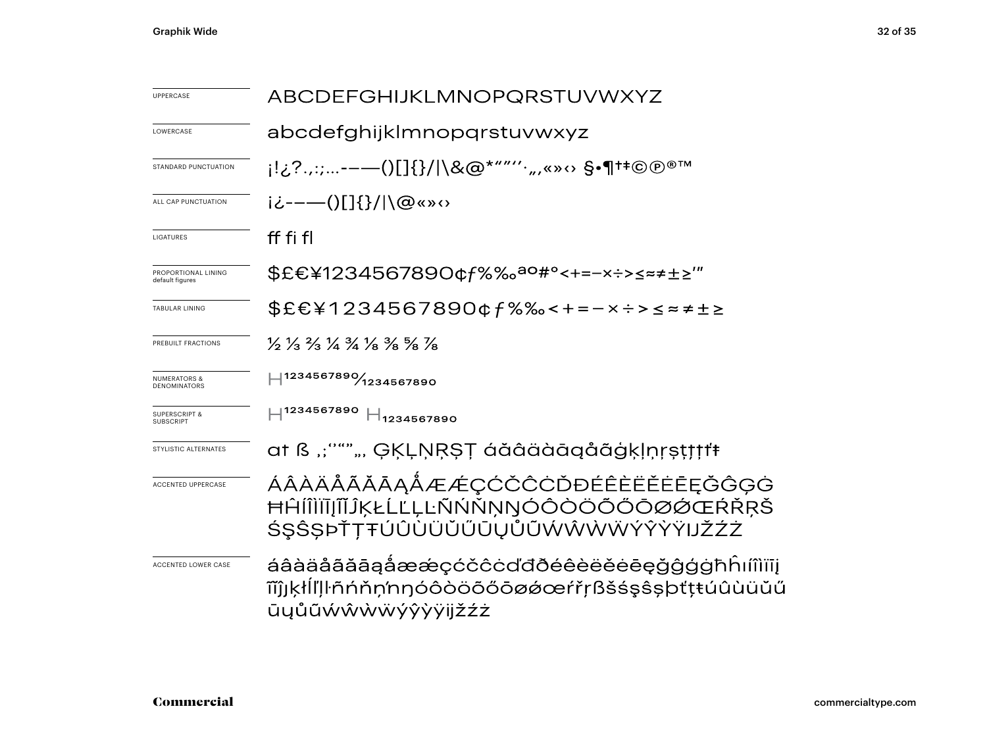| <b>UPPERCASE</b>                               | <b>ABCDEFGHIJKLMNOPQRSTUVWXYZ</b>                                                                                             |  |  |  |
|------------------------------------------------|-------------------------------------------------------------------------------------------------------------------------------|--|--|--|
| LOWERCASE                                      | abcdefghijklmnopqrstuvwxyz                                                                                                    |  |  |  |
| STANDARD PUNCTUATION                           | ¡!¿?.,:;-——()[]{}/ \&@*""′′`",«»↔ §•¶†‡©®®™                                                                                   |  |  |  |
| ALL CAP PUNCTUATION                            | i¿----()[]{}/ \@«»<>                                                                                                          |  |  |  |
| LIGATURES                                      | ff fi fl                                                                                                                      |  |  |  |
| PROPORTIONAL LINING<br>default figures         | \$£€¥1234567890¢f%‰ <sup>ao#</sup> °<+=-×÷>≤≈≠±≥'″                                                                            |  |  |  |
| <b>TABULAR LINING</b>                          | \$£€¥1234567890¢f%‰<+=-×÷>≤≈≠±≥                                                                                               |  |  |  |
| PREBUILT FRACTIONS                             | $\frac{1}{2}$ $\frac{1}{3}$ $\frac{2}{3}$ $\frac{1}{4}$ $\frac{3}{4}$ $\frac{1}{8}$ $\frac{3}{8}$ $\frac{5}{8}$ $\frac{7}{8}$ |  |  |  |
| <b>NUMERATORS &amp;</b><br><b>DENOMINATORS</b> | $-1234567890\%$ 1234567890                                                                                                    |  |  |  |
| <b>SUPERSCRIPT &amp;</b><br><b>SUBSCRIPT</b>   | $H^{1234567890}$ $H_{1234567890}$                                                                                             |  |  |  |
| STYLISTIC ALTERNATES                           | at ß ":"""", ĢĶĻŅŖŞŢ áăâäàāqåãģķļņŗṣṭţţţŧ                                                                                     |  |  |  |
| <b>ACCENTED UPPERCASE</b>                      | ÁÂÀÄÅÃĂĀĄÅÆÆÇĆČĈĊĎĐÉÊÈËĔĒĘĞĜĢĠ<br>ĦĤĺĨÌĬĨĴĨĶŁĹĽĻĿÑŃŇŅŊÓÔÒÖŐŐŌØØŒŔŘŖŠ<br>ŚŞŜŞÞŤŢŦÚÛÙÜŬŰŨŲŮŨŴŴŴŴÝŶŸŸIJŽŹŻ                       |  |  |  |
| <b>ACCENTED LOWER CASE</b>                     | áâàäåãããąåææçćčĉċďđðéêèëĕėēęğĝģġħĥım̃iïį<br>ĩĩĵjķłĺľļŀñńňņ'nŋóôòöõőōøǿœŕřŗßšśşŝşþťţŧúûùüŭű<br>ūyůũẃŵẁẅýŷỳÿijžźż               |  |  |  |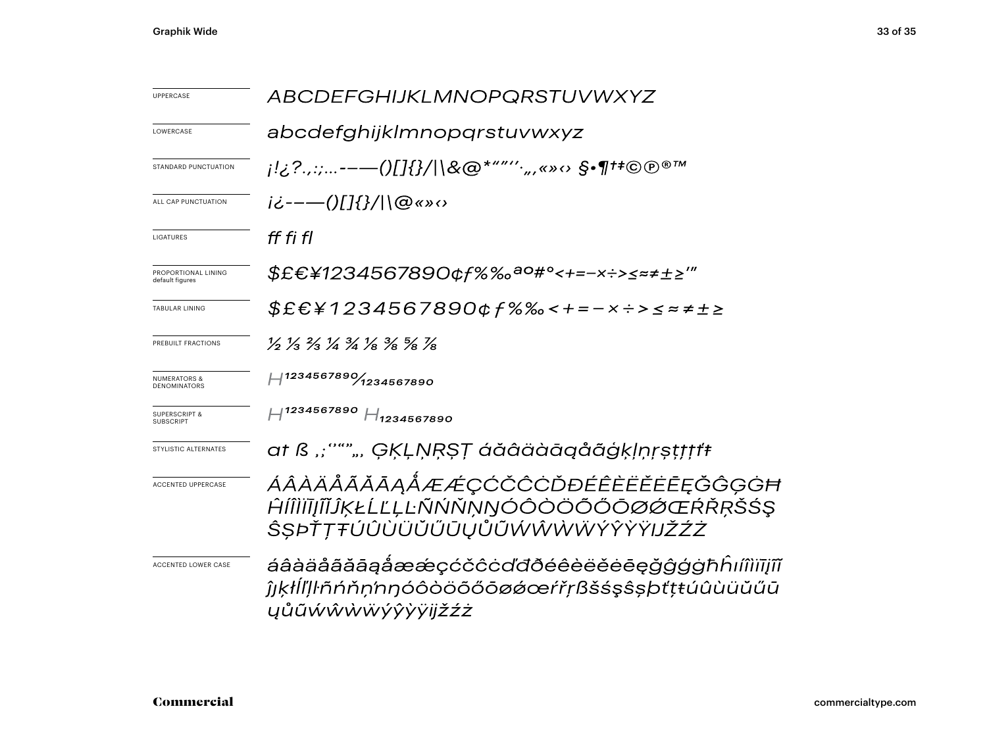| UPPERCASE                                      | <i>ABCDEFGHIJKLMNOPQRSTUVWXYZ</i>                                                                               |  |  |  |
|------------------------------------------------|-----------------------------------------------------------------------------------------------------------------|--|--|--|
| LOWERCASE                                      | abcdefghijklmnopqrstuvwxyz                                                                                      |  |  |  |
| STANDARD PUNCTUATION                           | ¡!¿?.,:;-——()[]{}/ \&@*"″′′`",«»↔ §•¶†‡©®®™                                                                     |  |  |  |
| ALL CAP PUNCTUATION                            | j¿--—()[]{}/ \@«»<>                                                                                             |  |  |  |
| LIGATURES                                      | ff fi fl                                                                                                        |  |  |  |
| PROPORTIONAL LINING<br>default figures         | \$£€¥1234567890¢f%‰ <sup>ao#</sup> °<+=-×÷>≤≈≠±≥‴                                                               |  |  |  |
| <b>TABULAR LINING</b>                          | $$E&E&1234567890&f%&c+-x&c=z+12$                                                                                |  |  |  |
| PREBUILT FRACTIONS                             | 1/2 1/3 2/3 1/4 3/4 1/8 3/8 3/8 1/8                                                                             |  |  |  |
| <b>NUMERATORS &amp;</b><br><b>DENOMINATORS</b> | $H^{1234567890}$ 1234567890                                                                                     |  |  |  |
| <b>SUPERSCRIPT &amp;</b><br><b>SUBSCRIPT</b>   | $H^{1234567890}$ $H_{1234567890}$                                                                               |  |  |  |
| STYLISTIC ALTERNATES                           | at ß ":"""", ĢĶĻŅŖŞŢ áăâäàāqåãģķļņŗṣṭṭṭṭŧ                                                                       |  |  |  |
| <b>ACCENTED UPPERCASE</b>                      | ÁÂÀÄÅÃĂĀĄÅÆÆÇĆČĈĊĎĐÉÊÈËĔĒĒĘĞĜĢĠĦ<br>ĤĺÎÌĬĪJĨĬĴĶŁĹĽĻĿÑŃŇŅŊÓÔÒÖÕŐŌØØŒŔŘŖŠŚŞ<br>ŜSÞŤŢŦÚÛÙÜŬŰŨŲŮŨŴŴŴŴÝŶŶŸIJŽŹŻ      |  |  |  |
| <b>ACCENTED LOWER CASE</b>                     | áâàäåããāąåææçćčĉċďđðéêèëĕēęğĝģġħĥıíîìiījîĩ<br>ĵıkłĺľļŀñńňņ'nŋóôòöõőōøǿœŕřŗßšśşŝṣþťṭŧúûùüŭűū<br>ŲŮŨŴŴŴŴÝŶŶŸijŽŹŻ |  |  |  |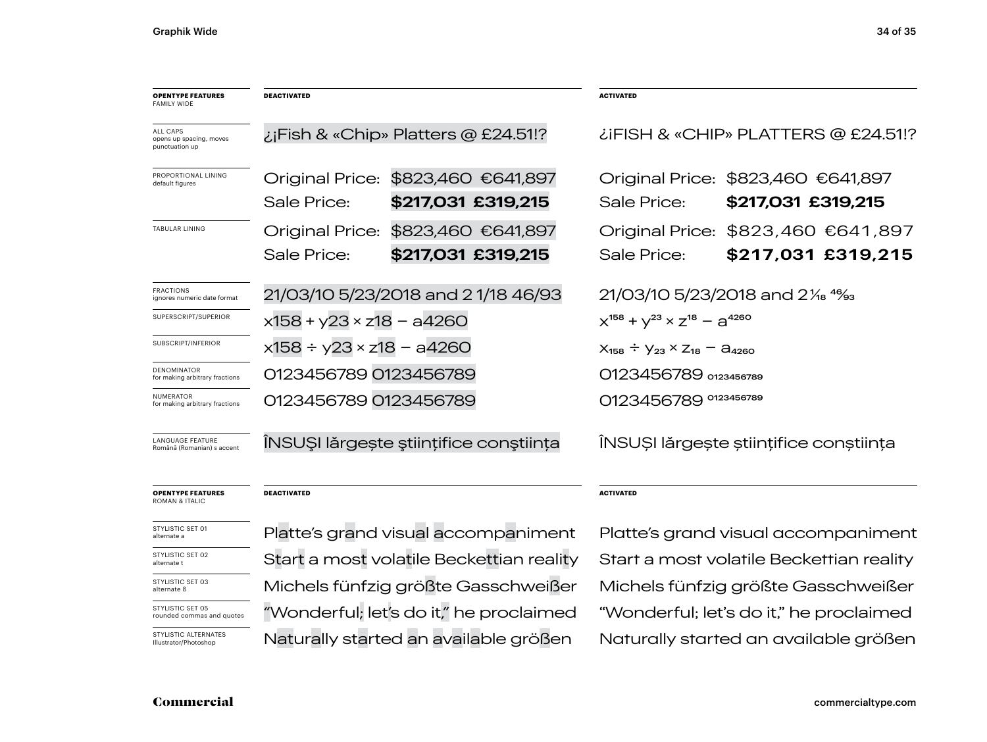| <b>OPENTYPE FEATURES</b><br><b>FAMILY WIDE</b>               | <b>DEACTIVATED</b>                                                                             |                                        | <b>ACTIVATED</b>                            |                                        |  |
|--------------------------------------------------------------|------------------------------------------------------------------------------------------------|----------------------------------------|---------------------------------------------|----------------------------------------|--|
| <b>ALL CAPS</b><br>opens up spacing, moves<br>punctuation up |                                                                                                | ¿¡Fish & «Chip» Platters @ £24.51!?    | LIFISH & «CHIP» PLATTERS @ £24.51!?         |                                        |  |
| PROPORTIONAL LINING<br>default figures                       | Original Price:                                                                                | \$823,460 €641,897                     | Original Price:                             | \$823,460 €641,897                     |  |
|                                                              | Sale Price:                                                                                    | \$217,031 £319,215                     | Sale Price:                                 | \$217,031 £319,215                     |  |
| <b>TABULAR LINING</b>                                        | <b>Original Price:</b>                                                                         | \$823,460 €641,897                     | Original Price:                             | \$823,460 €641,897                     |  |
|                                                              | Sale Price:                                                                                    | \$217,031 £319,215                     | Sale Price:                                 | \$217,031 £319,215                     |  |
| <b>FRACTIONS</b><br>ignores numeric date format              | 21/03/10 5/23/2018 and 21/18 46/93                                                             |                                        | 21/03/10 5/23/2018 and 21/ <sub>8</sub> 4%  |                                        |  |
| SUPERSCRIPT/SUPERIOR                                         | $x158 + y23 \times z18 - a4260$                                                                |                                        | $X^{158} + Y^{23} \times Z^{18} - Q^{4260}$ |                                        |  |
| SUBSCRIPT/INFERIOR                                           | $x158 \div y23 \times z18 - a4260$<br>$X_{158} \div Y_{23} \times Z_{18} = \mathcal{C}_{4260}$ |                                        |                                             |                                        |  |
| <b>DENOMINATOR</b><br>for making arbitrary fractions         | 0123456789 0123456789                                                                          |                                        |                                             | 0123456789 0123456789                  |  |
| <b>NUMERATOR</b><br>for making arbitrary fractions           | 0123456789 0123456789                                                                          |                                        | 0123456789 0123456789                       |                                        |  |
| <b>LANGUAGE FEATURE</b><br>Română (Romanian) s accent        |                                                                                                | ÎNSUȘI lărgește științifice conștiința |                                             | INSUȘI lărgește științifice conștiința |  |

#### **OPENTYPE FEATURES** ROMAN & ITALIC

**DEACTIVATED**

| STYLISTIC SET 01 |  |
|------------------|--|
| alternate a      |  |
|                  |  |

STYLISTIC SET 02 alternate t

STYLISTIC SET 03 alternate ß

STYLISTIC SET 05 rounded commas and quotes

STYLISTIC ALTERNATES Illustrator/Photoshop

Start a most volatile Beckettian reality Start a most volatile Beckettian reality Michels fünfzig größte Gasschweißer Michels fünfzig größte Gasschweißer "Wonderful; let's do it," he proclaimed "Wonderful; let's do it," he proclaimed

#### **ACTIVATED**

Platte's grand visual accompaniment Platte's grand visual accompaniment Naturally started an available größen Naturally started an available größen